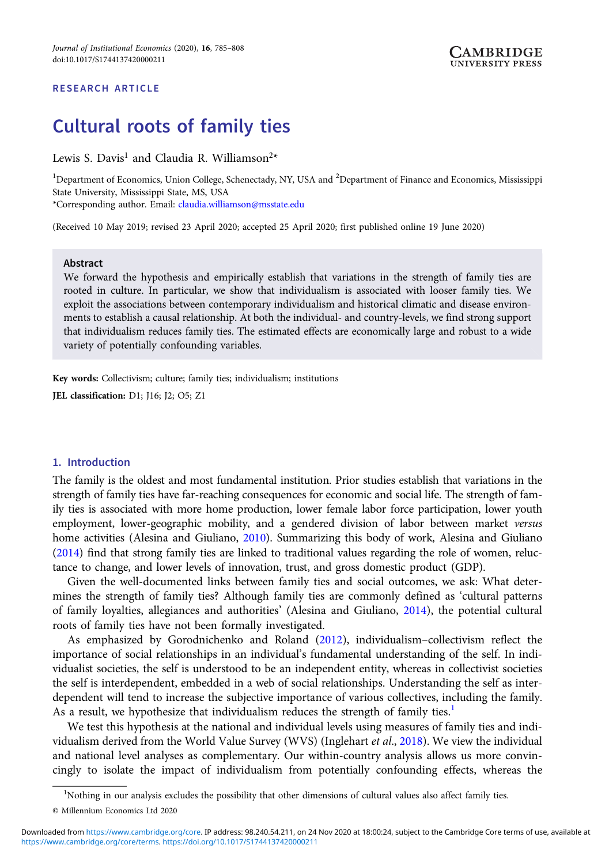## RESEARCH ARTICLE

# Cultural roots of family ties

Lewis S. Davis<sup>1</sup> and Claudia R. Williamson<sup>2\*</sup>

<sup>1</sup>Department of Economics, Union College, Schenectady, NY, USA and <sup>2</sup>Department of Finance and Economics, Mississippi State University, Mississippi State, MS, USA

\*Corresponding author. Email: [claudia.williamson@msstate.edu](mailto:claudia.williamson@msstate.edu)

(Received 10 May 2019; revised 23 April 2020; accepted 25 April 2020; first published online 19 June 2020)

## Abstract

We forward the hypothesis and empirically establish that variations in the strength of family ties are rooted in culture. In particular, we show that individualism is associated with looser family ties. We exploit the associations between contemporary individualism and historical climatic and disease environments to establish a causal relationship. At both the individual- and country-levels, we find strong support that individualism reduces family ties. The estimated effects are economically large and robust to a wide variety of potentially confounding variables.

Key words: Collectivism; culture; family ties; individualism; institutions JEL classification: D1; J16; J2; O5; Z1

#### 1. Introduction

The family is the oldest and most fundamental institution. Prior studies establish that variations in the strength of family ties have far-reaching consequences for economic and social life. The strength of family ties is associated with more home production, lower female labor force participation, lower youth employment, lower-geographic mobility, and a gendered division of labor between market versus home activities (Alesina and Giuliano, [2010](#page-14-0)). Summarizing this body of work, Alesina and Giuliano ([2014](#page-14-0)) find that strong family ties are linked to traditional values regarding the role of women, reluctance to change, and lower levels of innovation, trust, and gross domestic product (GDP).

Given the well-documented links between family ties and social outcomes, we ask: What determines the strength of family ties? Although family ties are commonly defined as 'cultural patterns of family loyalties, allegiances and authorities' (Alesina and Giuliano, [2014\)](#page-14-0), the potential cultural roots of family ties have not been formally investigated.

As emphasized by Gorodnichenko and Roland ([2012\)](#page-15-0), individualism–collectivism reflect the importance of social relationships in an individual's fundamental understanding of the self. In individualist societies, the self is understood to be an independent entity, whereas in collectivist societies the self is interdependent, embedded in a web of social relationships. Understanding the self as interdependent will tend to increase the subjective importance of various collectives, including the family. As a result, we hypothesize that individualism reduces the strength of family ties.<sup>1</sup>

We test this hypothesis at the national and individual levels using measures of family ties and indi-vidualism derived from the World Value Survey (WVS) (Inglehart et al., [2018](#page-15-0)). We view the individual and national level analyses as complementary. Our within-country analysis allows us more convincingly to isolate the impact of individualism from potentially confounding effects, whereas the

<sup>&</sup>lt;sup>1</sup>Nothing in our analysis excludes the possibility that other dimensions of cultural values also affect family ties.

<sup>©</sup> Millennium Economics Ltd 2020

[https://www.cambridge.org/core/terms.](https://www.cambridge.org/core/terms) <https://doi.org/10.1017/S1744137420000211> Downloaded from [https://www.cambridge.org/core.](https://www.cambridge.org/core) IP address: 98.240.54.211, on 24 Nov 2020 at 18:00:24, subject to the Cambridge Core terms of use, available at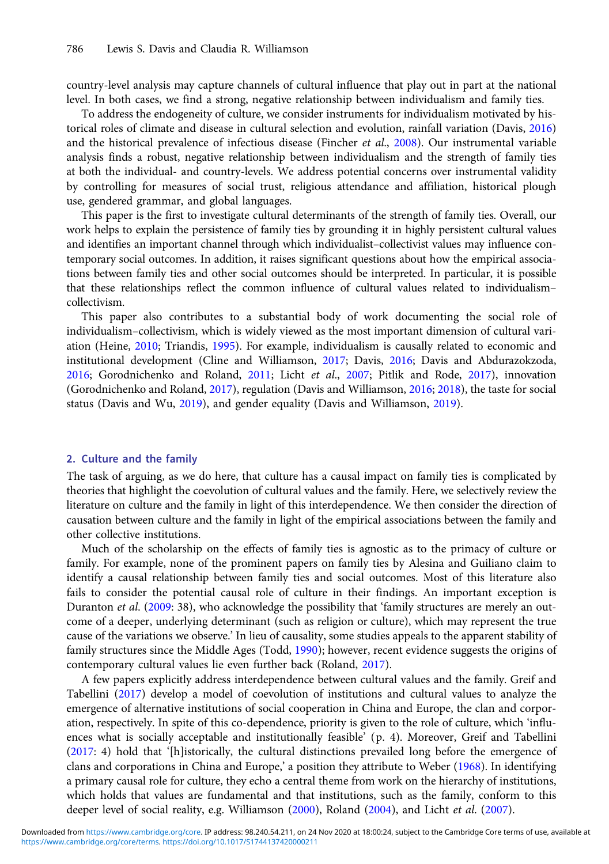country-level analysis may capture channels of cultural influence that play out in part at the national level. In both cases, we find a strong, negative relationship between individualism and family ties.

To address the endogeneity of culture, we consider instruments for individualism motivated by historical roles of climate and disease in cultural selection and evolution, rainfall variation (Davis, [2016](#page-15-0)) and the historical prevalence of infectious disease (Fincher et al.,  $2008$ ). Our instrumental variable analysis finds a robust, negative relationship between individualism and the strength of family ties at both the individual- and country-levels. We address potential concerns over instrumental validity by controlling for measures of social trust, religious attendance and affiliation, historical plough use, gendered grammar, and global languages.

This paper is the first to investigate cultural determinants of the strength of family ties. Overall, our work helps to explain the persistence of family ties by grounding it in highly persistent cultural values and identifies an important channel through which individualist–collectivist values may influence contemporary social outcomes. In addition, it raises significant questions about how the empirical associations between family ties and other social outcomes should be interpreted. In particular, it is possible that these relationships reflect the common influence of cultural values related to individualism– collectivism.

This paper also contributes to a substantial body of work documenting the social role of individualism–collectivism, which is widely viewed as the most important dimension of cultural variation (Heine, [2010](#page-15-0); Triandis, [1995](#page-16-0)). For example, individualism is causally related to economic and institutional development (Cline and Williamson, [2017](#page-15-0); Davis, [2016](#page-15-0); Davis and Abdurazokzoda, [2016;](#page-15-0) Gorodnichenko and Roland, [2011;](#page-15-0) Licht et al., [2007](#page-16-0); Pitlik and Rode, [2017](#page-16-0)), innovation (Gorodnichenko and Roland, [2017](#page-15-0)), regulation (Davis and Williamson, [2016](#page-15-0); [2018](#page-15-0)), the taste for social status (Davis and Wu, [2019\)](#page-15-0), and gender equality (Davis and Williamson, [2019\)](#page-15-0).

#### 2. Culture and the family

The task of arguing, as we do here, that culture has a causal impact on family ties is complicated by theories that highlight the coevolution of cultural values and the family. Here, we selectively review the literature on culture and the family in light of this interdependence. We then consider the direction of causation between culture and the family in light of the empirical associations between the family and other collective institutions.

Much of the scholarship on the effects of family ties is agnostic as to the primacy of culture or family. For example, none of the prominent papers on family ties by Alesina and Guiliano claim to identify a causal relationship between family ties and social outcomes. Most of this literature also fails to consider the potential causal role of culture in their findings. An important exception is Duranton et al. ([2009:](#page-15-0) 38), who acknowledge the possibility that 'family structures are merely an outcome of a deeper, underlying determinant (such as religion or culture), which may represent the true cause of the variations we observe.' In lieu of causality, some studies appeals to the apparent stability of family structures since the Middle Ages (Todd, [1990](#page-16-0)); however, recent evidence suggests the origins of contemporary cultural values lie even further back (Roland, [2017\)](#page-16-0).

A few papers explicitly address interdependence between cultural values and the family. Greif and Tabellini ([2017\)](#page-15-0) develop a model of coevolution of institutions and cultural values to analyze the emergence of alternative institutions of social cooperation in China and Europe, the clan and corporation, respectively. In spite of this co-dependence, priority is given to the role of culture, which 'influences what is socially acceptable and institutionally feasible' (p. 4). Moreover, Greif and Tabellini [\(2017:](#page-15-0) 4) hold that '[h]istorically, the cultural distinctions prevailed long before the emergence of clans and corporations in China and Europe,' a position they attribute to Weber ([1968\)](#page-16-0). In identifying a primary causal role for culture, they echo a central theme from work on the hierarchy of institutions, which holds that values are fundamental and that institutions, such as the family, conform to this deeper level of social reality, e.g. Williamson ([2000](#page-16-0)), Roland [\(2004](#page-16-0)), and Licht et al. ([2007\)](#page-16-0).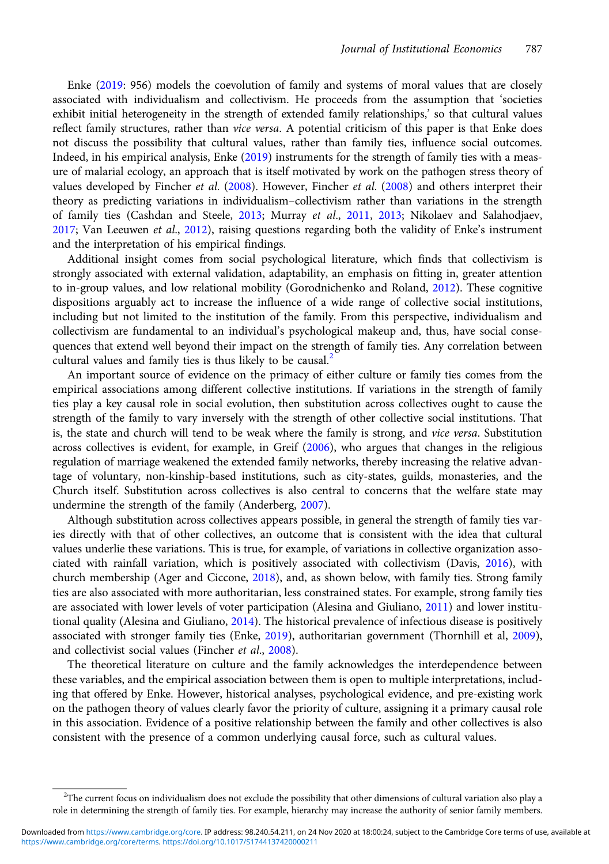Enke ([2019:](#page-15-0) 956) models the coevolution of family and systems of moral values that are closely associated with individualism and collectivism. He proceeds from the assumption that 'societies exhibit initial heterogeneity in the strength of extended family relationships,' so that cultural values reflect family structures, rather than vice versa. A potential criticism of this paper is that Enke does not discuss the possibility that cultural values, rather than family ties, influence social outcomes. Indeed, in his empirical analysis, Enke [\(2019](#page-15-0)) instruments for the strength of family ties with a measure of malarial ecology, an approach that is itself motivated by work on the pathogen stress theory of values developed by Fincher et al. ([2008\)](#page-15-0). However, Fincher et al. [\(2008\)](#page-15-0) and others interpret their theory as predicting variations in individualism–collectivism rather than variations in the strength of family ties (Cashdan and Steele, [2013](#page-16-0); Murray et al., [2011,](#page-16-0) 2013; Nikolaev and Salahodjaev,  $2017$ ; Van Leeuwen et al.,  $2012$ ), raising questions regarding both the validity of Enke's instrument and the interpretation of his empirical findings.

Additional insight comes from social psychological literature, which finds that collectivism is strongly associated with external validation, adaptability, an emphasis on fitting in, greater attention to in-group values, and low relational mobility (Gorodnichenko and Roland, [2012](#page-15-0)). These cognitive dispositions arguably act to increase the influence of a wide range of collective social institutions, including but not limited to the institution of the family. From this perspective, individualism and collectivism are fundamental to an individual's psychological makeup and, thus, have social consequences that extend well beyond their impact on the strength of family ties. Any correlation between cultural values and family ties is thus likely to be causal.<sup>2</sup>

An important source of evidence on the primacy of either culture or family ties comes from the empirical associations among different collective institutions. If variations in the strength of family ties play a key causal role in social evolution, then substitution across collectives ought to cause the strength of the family to vary inversely with the strength of other collective social institutions. That is, the state and church will tend to be weak where the family is strong, and vice versa. Substitution across collectives is evident, for example, in Greif [\(2006](#page-15-0)), who argues that changes in the religious regulation of marriage weakened the extended family networks, thereby increasing the relative advantage of voluntary, non-kinship-based institutions, such as city-states, guilds, monasteries, and the Church itself. Substitution across collectives is also central to concerns that the welfare state may undermine the strength of the family (Anderberg, [2007](#page-15-0)).

Although substitution across collectives appears possible, in general the strength of family ties varies directly with that of other collectives, an outcome that is consistent with the idea that cultural values underlie these variations. This is true, for example, of variations in collective organization associated with rainfall variation, which is positively associated with collectivism (Davis, [2016\)](#page-15-0), with church membership (Ager and Ciccone, [2018](#page-14-0)), and, as shown below, with family ties. Strong family ties are also associated with more authoritarian, less constrained states. For example, strong family ties are associated with lower levels of voter participation (Alesina and Giuliano, [2011](#page-14-0)) and lower institutional quality (Alesina and Giuliano, [2014\)](#page-14-0). The historical prevalence of infectious disease is positively associated with stronger family ties (Enke, [2019](#page-15-0)), authoritarian government (Thornhill et al, [2009\)](#page-16-0), and collectivist social values (Fincher et al., [2008](#page-15-0)).

The theoretical literature on culture and the family acknowledges the interdependence between these variables, and the empirical association between them is open to multiple interpretations, including that offered by Enke. However, historical analyses, psychological evidence, and pre-existing work on the pathogen theory of values clearly favor the priority of culture, assigning it a primary causal role in this association. Evidence of a positive relationship between the family and other collectives is also consistent with the presence of a common underlying causal force, such as cultural values.

<sup>&</sup>lt;sup>2</sup>The current focus on individualism does not exclude the possibility that other dimensions of cultural variation also play a role in determining the strength of family ties. For example, hierarchy may increase the authority of senior family members.

[https://www.cambridge.org/core/terms.](https://www.cambridge.org/core/terms) <https://doi.org/10.1017/S1744137420000211> Downloaded from [https://www.cambridge.org/core.](https://www.cambridge.org/core) IP address: 98.240.54.211, on 24 Nov 2020 at 18:00:24, subject to the Cambridge Core terms of use, available at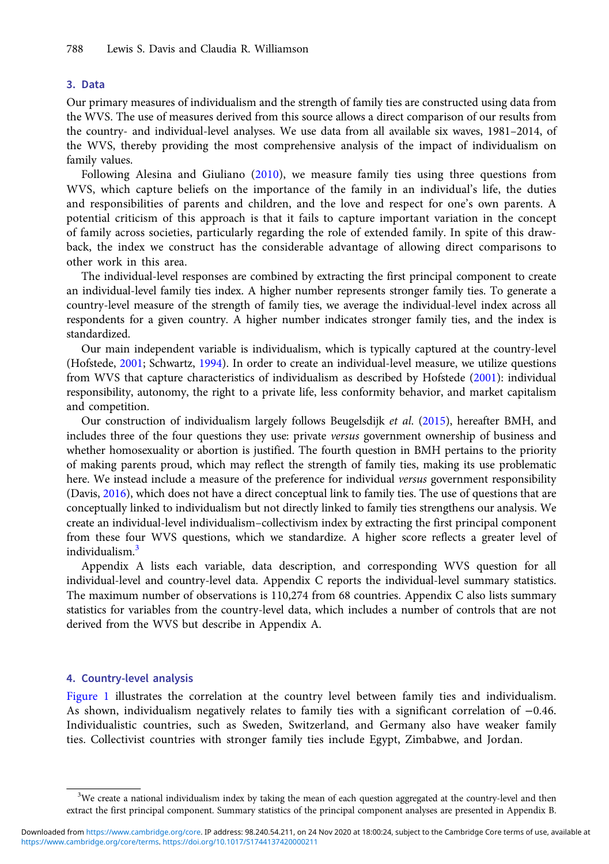## 3. Data

Our primary measures of individualism and the strength of family ties are constructed using data from the WVS. The use of measures derived from this source allows a direct comparison of our results from the country- and individual-level analyses. We use data from all available six waves, 1981–2014, of the WVS, thereby providing the most comprehensive analysis of the impact of individualism on family values.

Following Alesina and Giuliano ([2010\)](#page-14-0), we measure family ties using three questions from WVS, which capture beliefs on the importance of the family in an individual's life, the duties and responsibilities of parents and children, and the love and respect for one's own parents. A potential criticism of this approach is that it fails to capture important variation in the concept of family across societies, particularly regarding the role of extended family. In spite of this drawback, the index we construct has the considerable advantage of allowing direct comparisons to other work in this area.

The individual-level responses are combined by extracting the first principal component to create an individual-level family ties index. A higher number represents stronger family ties. To generate a country-level measure of the strength of family ties, we average the individual-level index across all respondents for a given country. A higher number indicates stronger family ties, and the index is standardized.

Our main independent variable is individualism, which is typically captured at the country-level (Hofstede, [2001;](#page-15-0) Schwartz, [1994\)](#page-16-0). In order to create an individual-level measure, we utilize questions from WVS that capture characteristics of individualism as described by Hofstede ([2001](#page-15-0)): individual responsibility, autonomy, the right to a private life, less conformity behavior, and market capitalism and competition.

Our construction of individualism largely follows Beugelsdijk et al. [\(2015](#page-15-0)), hereafter BMH, and includes three of the four questions they use: private versus government ownership of business and whether homosexuality or abortion is justified. The fourth question in BMH pertains to the priority of making parents proud, which may reflect the strength of family ties, making its use problematic here. We instead include a measure of the preference for individual versus government responsibility (Davis, [2016](#page-15-0)), which does not have a direct conceptual link to family ties. The use of questions that are conceptually linked to individualism but not directly linked to family ties strengthens our analysis. We create an individual-level individualism–collectivism index by extracting the first principal component from these four WVS questions, which we standardize. A higher score reflects a greater level of individualism.<sup>3</sup>

Appendix A lists each variable, data description, and corresponding WVS question for all individual-level and country-level data. Appendix C reports the individual-level summary statistics. The maximum number of observations is 110,274 from 68 countries. Appendix C also lists summary statistics for variables from the country-level data, which includes a number of controls that are not derived from the WVS but describe in Appendix A.

## 4. Country-level analysis

[Figure 1](#page-4-0) illustrates the correlation at the country level between family ties and individualism. As shown, individualism negatively relates to family ties with a significant correlation of −0.46. Individualistic countries, such as Sweden, Switzerland, and Germany also have weaker family ties. Collectivist countries with stronger family ties include Egypt, Zimbabwe, and Jordan.

<sup>&</sup>lt;sup>3</sup>We create a national individualism index by taking the mean of each question aggregated at the country-level and then extract the first principal component. Summary statistics of the principal component analyses are presented in Appendix B.

[https://www.cambridge.org/core/terms.](https://www.cambridge.org/core/terms) <https://doi.org/10.1017/S1744137420000211> Downloaded from [https://www.cambridge.org/core.](https://www.cambridge.org/core) IP address: 98.240.54.211, on 24 Nov 2020 at 18:00:24, subject to the Cambridge Core terms of use, available at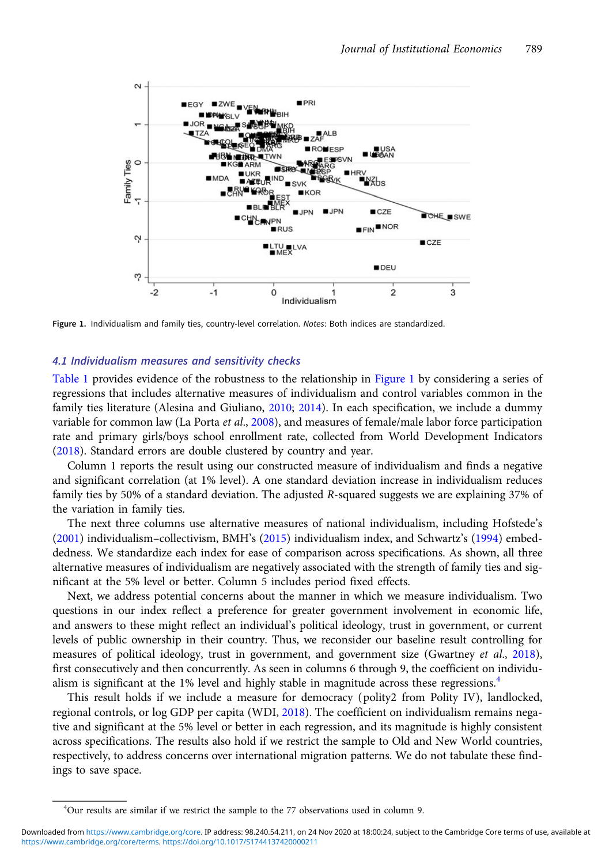<span id="page-4-0"></span>

Figure 1. Individualism and family ties, country-level correlation. Notes: Both indices are standardized.

## 4.1 Individualism measures and sensitivity checks

[Table 1](#page-5-0) provides evidence of the robustness to the relationship in Figure 1 by considering a series of regressions that includes alternative measures of individualism and control variables common in the family ties literature (Alesina and Giuliano, [2010](#page-14-0); [2014\)](#page-14-0). In each specification, we include a dummy variable for common law (La Porta et al., [2008](#page-15-0)), and measures of female/male labor force participation rate and primary girls/boys school enrollment rate, collected from World Development Indicators ([2018\)](#page-16-0). Standard errors are double clustered by country and year.

Column 1 reports the result using our constructed measure of individualism and finds a negative and significant correlation (at 1% level). A one standard deviation increase in individualism reduces family ties by 50% of a standard deviation. The adjusted R-squared suggests we are explaining 37% of the variation in family ties.

The next three columns use alternative measures of national individualism, including Hofstede's ([2001\)](#page-15-0) individualism–collectivism, BMH's ([2015](#page-15-0)) individualism index, and Schwartz's [\(1994\)](#page-16-0) embeddedness. We standardize each index for ease of comparison across specifications. As shown, all three alternative measures of individualism are negatively associated with the strength of family ties and significant at the 5% level or better. Column 5 includes period fixed effects.

Next, we address potential concerns about the manner in which we measure individualism. Two questions in our index reflect a preference for greater government involvement in economic life, and answers to these might reflect an individual's political ideology, trust in government, or current levels of public ownership in their country. Thus, we reconsider our baseline result controlling for measures of political ideology, trust in government, and government size (Gwartney et al., [2018\)](#page-15-0), first consecutively and then concurrently. As seen in columns 6 through 9, the coefficient on individualism is significant at the 1% level and highly stable in magnitude across these regressions.<sup>4</sup>

This result holds if we include a measure for democracy (polity2 from Polity IV), landlocked, regional controls, or log GDP per capita (WDI, [2018](#page-16-0)). The coefficient on individualism remains negative and significant at the 5% level or better in each regression, and its magnitude is highly consistent across specifications. The results also hold if we restrict the sample to Old and New World countries, respectively, to address concerns over international migration patterns. We do not tabulate these findings to save space.

<sup>&</sup>lt;sup>4</sup>Our results are similar if we restrict the sample to the 77 observations used in column 9.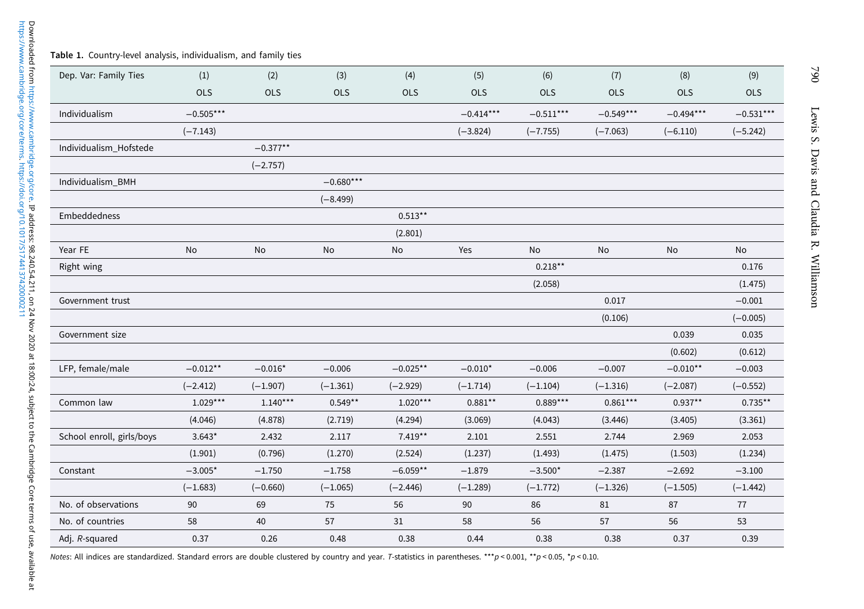#### <span id="page-5-0"></span>Table 1. Country-level analysis, individualism, and family ties

| Dep. Var: Family Ties     | (1)         | (2)        | (3)         | (4)        | (5)         | (6)         | (7)         | (8)         | (9)         |
|---------------------------|-------------|------------|-------------|------------|-------------|-------------|-------------|-------------|-------------|
|                           | OLS         | <b>OLS</b> | <b>OLS</b>  | <b>OLS</b> | <b>OLS</b>  | <b>OLS</b>  | <b>OLS</b>  | <b>OLS</b>  | <b>OLS</b>  |
| Individualism             | $-0.505***$ |            |             |            | $-0.414***$ | $-0.511***$ | $-0.549***$ | $-0.494***$ | $-0.531***$ |
|                           | $(-7.143)$  |            |             |            | $(-3.824)$  | $(-7.755)$  | $(-7.063)$  | $(-6.110)$  | $(-5.242)$  |
| Individualism_Hofstede    |             | $-0.377**$ |             |            |             |             |             |             |             |
|                           |             | $(-2.757)$ |             |            |             |             |             |             |             |
| Individualism_BMH         |             |            | $-0.680***$ |            |             |             |             |             |             |
|                           |             |            | $(-8.499)$  |            |             |             |             |             |             |
| Embeddedness              |             |            |             | $0.513**$  |             |             |             |             |             |
|                           |             |            |             | (2.801)    |             |             |             |             |             |
| Year FE                   | No          | No         | No          | No         | Yes         | No          | No          | No          | No          |
| Right wing                |             |            |             |            |             | $0.218***$  |             |             | 0.176       |
|                           |             |            |             |            |             | (2.058)     |             |             | (1.475)     |
| Government trust          |             |            |             |            |             |             | 0.017       |             | $-0.001$    |
|                           |             |            |             |            |             |             | (0.106)     |             | $(-0.005)$  |
| Government size           |             |            |             |            |             |             |             | 0.039       | 0.035       |
|                           |             |            |             |            |             |             |             | (0.602)     | (0.612)     |
| LFP, female/male          | $-0.012**$  | $-0.016*$  | $-0.006$    | $-0.025**$ | $-0.010*$   | $-0.006$    | $-0.007$    | $-0.010**$  | $-0.003$    |
|                           | $(-2.412)$  | $(-1.907)$ | $(-1.361)$  | $(-2.929)$ | $(-1.714)$  | $(-1.104)$  | $(-1.316)$  | $(-2.087)$  | $(-0.552)$  |
| Common law                | $1.029***$  | $1.140***$ | $0.549**$   | $1.020***$ | $0.881***$  | $0.889***$  | $0.861***$  | $0.937**$   | $0.735**$   |
|                           | (4.046)     | (4.878)    | (2.719)     | (4.294)    | (3.069)     | (4.043)     | (3.446)     | (3.405)     | (3.361)     |
| School enroll, girls/boys | $3.643*$    | 2.432      | 2.117       | $7.419**$  | 2.101       | 2.551       | 2.744       | 2.969       | 2.053       |
|                           | (1.901)     | (0.796)    | (1.270)     | (2.524)    | (1.237)     | (1.493)     | (1.475)     | (1.503)     | (1.234)     |
| Constant                  | $-3.005*$   | $-1.750$   | $-1.758$    | $-6.059**$ | $-1.879$    | $-3.500*$   | $-2.387$    | $-2.692$    | $-3.100$    |
|                           | $(-1.683)$  | $(-0.660)$ | $(-1.065)$  | $(-2.446)$ | $(-1.289)$  | $(-1.772)$  | $(-1.326)$  | $(-1.505)$  | $(-1.442)$  |
| No. of observations       | 90          | 69         | 75          | 56         | 90          | 86          | 81          | 87          | 77          |
| No. of countries          | 58          | 40         | 57          | 31         | 58          | 56          | 57          | 56          | 53          |
| Adj. R-squared            | 0.37        | 0.26       | 0.48        | 0.38       | 0.44        | 0.38        | 0.38        | 0.37        | 0.39        |

Notes: All indices are standardized. Standard errors are double clustered by country and year. T-statistics in parentheses. \*\*\*p < 0.001, \*\*p < 0.05, \*p < 0.10.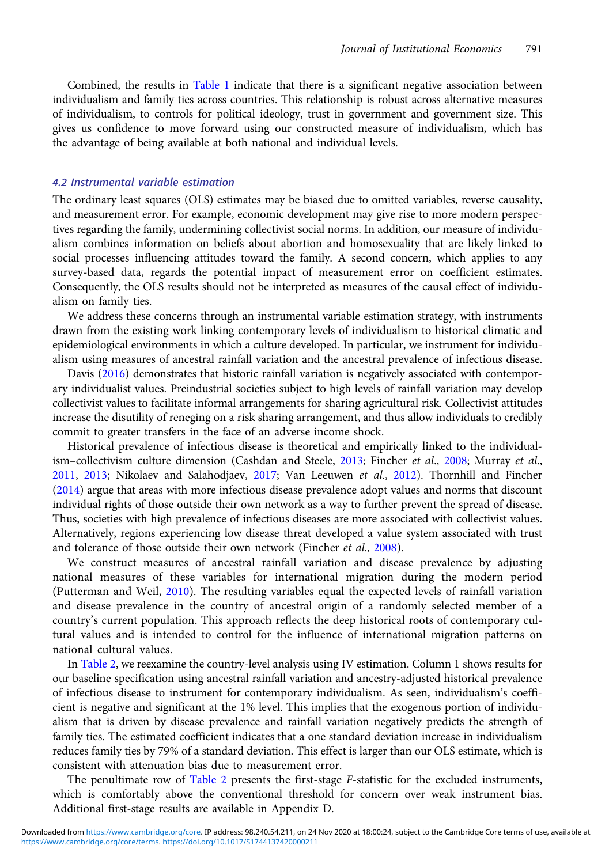Combined, the results in [Table 1](#page-5-0) indicate that there is a significant negative association between individualism and family ties across countries. This relationship is robust across alternative measures of individualism, to controls for political ideology, trust in government and government size. This gives us confidence to move forward using our constructed measure of individualism, which has the advantage of being available at both national and individual levels.

## 4.2 Instrumental variable estimation

The ordinary least squares (OLS) estimates may be biased due to omitted variables, reverse causality, and measurement error. For example, economic development may give rise to more modern perspectives regarding the family, undermining collectivist social norms. In addition, our measure of individualism combines information on beliefs about abortion and homosexuality that are likely linked to social processes influencing attitudes toward the family. A second concern, which applies to any survey-based data, regards the potential impact of measurement error on coefficient estimates. Consequently, the OLS results should not be interpreted as measures of the causal effect of individualism on family ties.

We address these concerns through an instrumental variable estimation strategy, with instruments drawn from the existing work linking contemporary levels of individualism to historical climatic and epidemiological environments in which a culture developed. In particular, we instrument for individualism using measures of ancestral rainfall variation and the ancestral prevalence of infectious disease.

Davis ([2016](#page-15-0)) demonstrates that historic rainfall variation is negatively associated with contemporary individualist values. Preindustrial societies subject to high levels of rainfall variation may develop collectivist values to facilitate informal arrangements for sharing agricultural risk. Collectivist attitudes increase the disutility of reneging on a risk sharing arrangement, and thus allow individuals to credibly commit to greater transfers in the face of an adverse income shock.

Historical prevalence of infectious disease is theoretical and empirically linked to the individual-ism-collectivism culture dimension (Cashdan and Steele, [2013](#page-15-0); Fincher et al., [2008](#page-15-0); Murray et al., [2011](#page-16-0), [2013;](#page-16-0) Nikolaev and Salahodjaev, [2017](#page-16-0); Van Leeuwen et al., [2012](#page-16-0)). Thornhill and Fincher ([2014\)](#page-16-0) argue that areas with more infectious disease prevalence adopt values and norms that discount individual rights of those outside their own network as a way to further prevent the spread of disease. Thus, societies with high prevalence of infectious diseases are more associated with collectivist values. Alternatively, regions experiencing low disease threat developed a value system associated with trust and tolerance of those outside their own network (Fincher et al., [2008\)](#page-15-0).

We construct measures of ancestral rainfall variation and disease prevalence by adjusting national measures of these variables for international migration during the modern period (Putterman and Weil, [2010](#page-16-0)). The resulting variables equal the expected levels of rainfall variation and disease prevalence in the country of ancestral origin of a randomly selected member of a country's current population. This approach reflects the deep historical roots of contemporary cultural values and is intended to control for the influence of international migration patterns on national cultural values.

In [Table 2,](#page-7-0) we reexamine the country-level analysis using IV estimation. Column 1 shows results for our baseline specification using ancestral rainfall variation and ancestry-adjusted historical prevalence of infectious disease to instrument for contemporary individualism. As seen, individualism's coefficient is negative and significant at the 1% level. This implies that the exogenous portion of individualism that is driven by disease prevalence and rainfall variation negatively predicts the strength of family ties. The estimated coefficient indicates that a one standard deviation increase in individualism reduces family ties by 79% of a standard deviation. This effect is larger than our OLS estimate, which is consistent with attenuation bias due to measurement error.

The penultimate row of [Table 2](#page-7-0) presents the first-stage F-statistic for the excluded instruments, which is comfortably above the conventional threshold for concern over weak instrument bias. Additional first-stage results are available in Appendix D.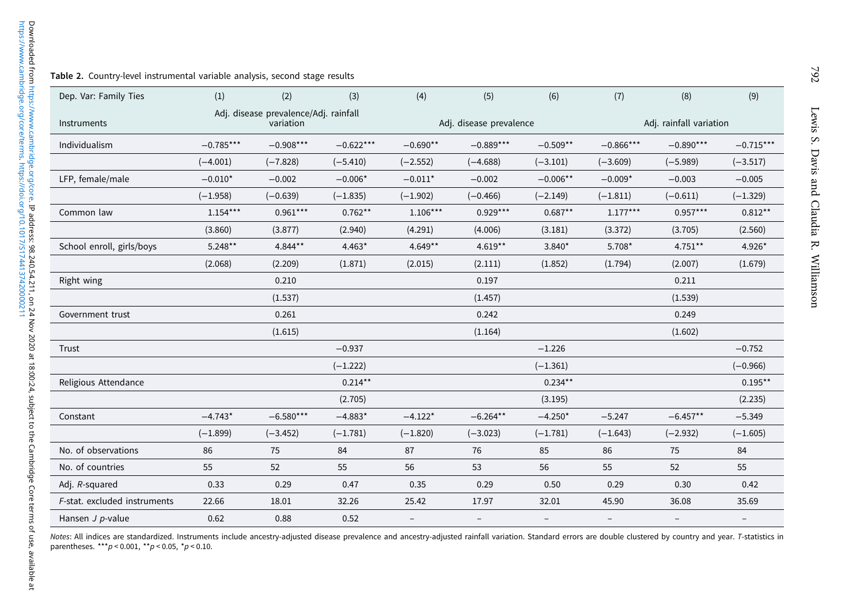#### <span id="page-7-0"></span>Table 2. Country-level instrumental variable analysis, second stage results

| Dep. Var: Family Ties        | (1)         | (2)                                                | (3)         | (4)                      | (5)                     | (6)        | (7)                      | (8)                     | (9)         |  |
|------------------------------|-------------|----------------------------------------------------|-------------|--------------------------|-------------------------|------------|--------------------------|-------------------------|-------------|--|
| Instruments                  |             | Adj. disease prevalence/Adj. rainfall<br>variation |             |                          | Adj. disease prevalence |            |                          | Adj. rainfall variation |             |  |
| Individualism                | $-0.785***$ | $-0.908***$                                        | $-0.622***$ | $-0.690**$               | $-0.889***$             | $-0.509**$ | $-0.866***$              | $-0.890***$             | $-0.715***$ |  |
|                              | $(-4.001)$  | $(-7.828)$                                         | $(-5.410)$  | $(-2.552)$               | $(-4.688)$              | $(-3.101)$ | $(-3.609)$               | $(-5.989)$              | $(-3.517)$  |  |
| LFP, female/male             | $-0.010*$   | $-0.002$                                           | $-0.006*$   | $-0.011*$                | $-0.002$                | $-0.006**$ | $-0.009*$                | $-0.003$                | $-0.005$    |  |
|                              | $(-1.958)$  | $(-0.639)$                                         | $(-1.835)$  | $(-1.902)$               | $(-0.466)$              | $(-2.149)$ | $(-1.811)$               | $(-0.611)$              | $(-1.329)$  |  |
| Common law                   | $1.154***$  | $0.961***$                                         | $0.762***$  | $1.106***$               | $0.929***$              | $0.687**$  | $1.177***$               | $0.957***$              | $0.812***$  |  |
|                              | (3.860)     | (3.877)                                            | (2.940)     | (4.291)                  | (4.006)                 | (3.181)    | (3.372)                  | (3.705)                 | (2.560)     |  |
| School enroll, girls/boys    | $5.248***$  | 4.844**                                            | $4.463*$    | $4.649**$                | $4.619**$               | 3.840*     | 5.708*                   | $4.751***$              | 4.926*      |  |
|                              | (2.068)     | (2.209)                                            | (1.871)     | (2.015)                  | (2.111)                 | (1.852)    | (1.794)                  | (2.007)                 | (1.679)     |  |
| Right wing                   |             | 0.210                                              |             |                          | 0.197                   |            |                          | 0.211                   |             |  |
|                              |             | (1.537)                                            |             |                          | (1.457)                 |            |                          | (1.539)                 |             |  |
| Government trust             |             | 0.261                                              |             |                          | 0.242                   |            |                          | 0.249                   |             |  |
|                              |             | (1.615)                                            |             |                          | (1.164)                 |            |                          | (1.602)                 |             |  |
| Trust                        |             |                                                    | $-0.937$    |                          |                         | $-1.226$   |                          |                         | $-0.752$    |  |
|                              |             |                                                    | $(-1.222)$  |                          |                         | $(-1.361)$ |                          |                         | $(-0.966)$  |  |
| Religious Attendance         |             |                                                    | $0.214**$   |                          |                         | $0.234**$  |                          |                         | $0.195***$  |  |
|                              |             |                                                    | (2.705)     |                          |                         | (3.195)    |                          |                         | (2.235)     |  |
| Constant                     | $-4.743*$   | $-6.580***$                                        | $-4.883*$   | $-4.122*$                | $-6.264**$              | $-4.250*$  | $-5.247$                 | $-6.457**$              | $-5.349$    |  |
|                              | $(-1.899)$  | $(-3.452)$                                         | $(-1.781)$  | $(-1.820)$               | $(-3.023)$              | $(-1.781)$ | $(-1.643)$               | $(-2.932)$              | $(-1.605)$  |  |
| No. of observations          | 86          | 75                                                 | 84          | 87                       | 76                      | 85         | 86                       | 75                      | 84          |  |
| No. of countries             | 55          | 52                                                 | 55          | 56                       | 53                      | 56         | 55                       | 52                      | 55          |  |
| Adj. R-squared               | 0.33        | 0.29                                               | 0.47        | 0.35                     | 0.29                    | 0.50       | 0.29                     | 0.30                    | 0.42        |  |
| F-stat. excluded instruments | 22.66       | 18.01                                              | 32.26       | 25.42                    | 17.97                   | 32.01      | 45.90                    | 36.08                   | 35.69       |  |
| Hansen $J$ p-value           | 0.62        | 0.88                                               | 0.52        | $\overline{\phantom{0}}$ |                         |            | $\overline{\phantom{0}}$ |                         |             |  |

Notes: All indices are standardized. Instruments include ancestry-adjusted disease prevalence and ancestry-adjusted rainfall variation. Standard errors are double clustered by country and year. 7-statistics ir<br>parentheses.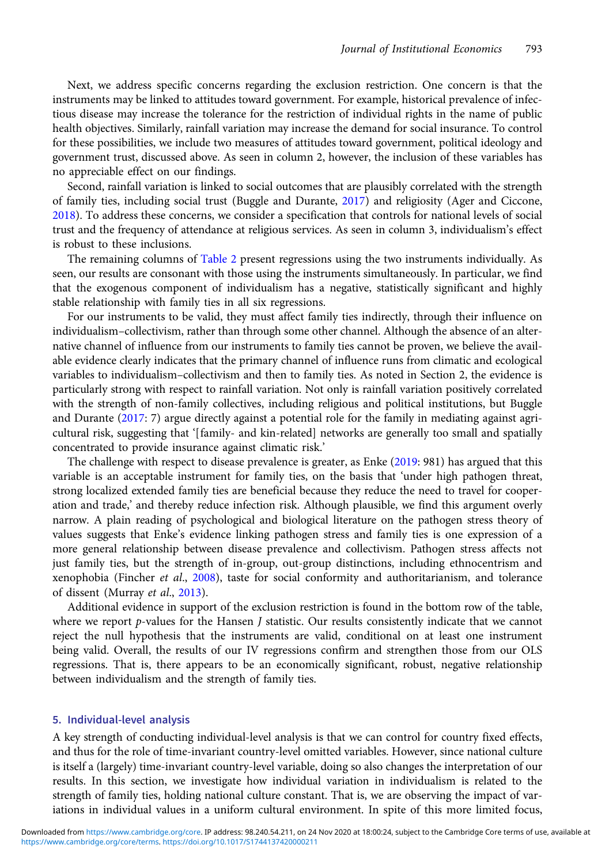Next, we address specific concerns regarding the exclusion restriction. One concern is that the instruments may be linked to attitudes toward government. For example, historical prevalence of infectious disease may increase the tolerance for the restriction of individual rights in the name of public health objectives. Similarly, rainfall variation may increase the demand for social insurance. To control for these possibilities, we include two measures of attitudes toward government, political ideology and government trust, discussed above. As seen in column 2, however, the inclusion of these variables has no appreciable effect on our findings.

Second, rainfall variation is linked to social outcomes that are plausibly correlated with the strength of family ties, including social trust (Buggle and Durante, [2017\)](#page-15-0) and religiosity (Ager and Ciccone, [2018](#page-14-0)). To address these concerns, we consider a specification that controls for national levels of social trust and the frequency of attendance at religious services. As seen in column 3, individualism's effect is robust to these inclusions.

The remaining columns of [Table 2](#page-7-0) present regressions using the two instruments individually. As seen, our results are consonant with those using the instruments simultaneously. In particular, we find that the exogenous component of individualism has a negative, statistically significant and highly stable relationship with family ties in all six regressions.

For our instruments to be valid, they must affect family ties indirectly, through their influence on individualism–collectivism, rather than through some other channel. Although the absence of an alternative channel of influence from our instruments to family ties cannot be proven, we believe the available evidence clearly indicates that the primary channel of influence runs from climatic and ecological variables to individualism–collectivism and then to family ties. As noted in Section 2, the evidence is particularly strong with respect to rainfall variation. Not only is rainfall variation positively correlated with the strength of non-family collectives, including religious and political institutions, but Buggle and Durante [\(2017](#page-15-0): 7) argue directly against a potential role for the family in mediating against agricultural risk, suggesting that '[family- and kin-related] networks are generally too small and spatially concentrated to provide insurance against climatic risk.'

The challenge with respect to disease prevalence is greater, as Enke ([2019](#page-15-0): 981) has argued that this variable is an acceptable instrument for family ties, on the basis that 'under high pathogen threat, strong localized extended family ties are beneficial because they reduce the need to travel for cooperation and trade,' and thereby reduce infection risk. Although plausible, we find this argument overly narrow. A plain reading of psychological and biological literature on the pathogen stress theory of values suggests that Enke's evidence linking pathogen stress and family ties is one expression of a more general relationship between disease prevalence and collectivism. Pathogen stress affects not just family ties, but the strength of in-group, out-group distinctions, including ethnocentrism and xenophobia (Fincher et al., [2008\)](#page-15-0), taste for social conformity and authoritarianism, and tolerance of dissent (Murray et al., [2013](#page-16-0)).

Additional evidence in support of the exclusion restriction is found in the bottom row of the table, where we report  $p$ -values for the Hansen *J* statistic. Our results consistently indicate that we cannot reject the null hypothesis that the instruments are valid, conditional on at least one instrument being valid. Overall, the results of our IV regressions confirm and strengthen those from our OLS regressions. That is, there appears to be an economically significant, robust, negative relationship between individualism and the strength of family ties.

#### 5. Individual-level analysis

A key strength of conducting individual-level analysis is that we can control for country fixed effects, and thus for the role of time-invariant country-level omitted variables. However, since national culture is itself a (largely) time-invariant country-level variable, doing so also changes the interpretation of our results. In this section, we investigate how individual variation in individualism is related to the strength of family ties, holding national culture constant. That is, we are observing the impact of variations in individual values in a uniform cultural environment. In spite of this more limited focus,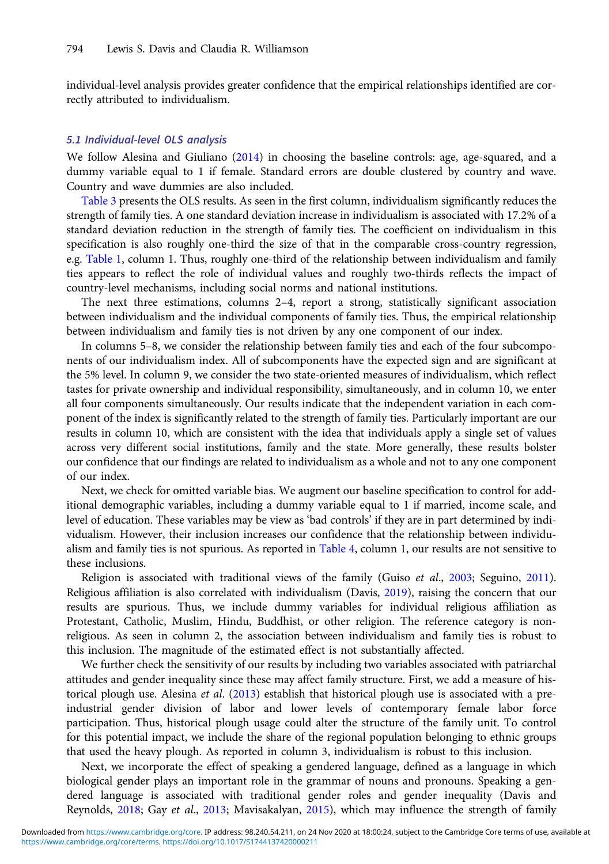individual-level analysis provides greater confidence that the empirical relationships identified are correctly attributed to individualism.

## 5.1 Individual-level OLS analysis

We follow Alesina and Giuliano [\(2014\)](#page-14-0) in choosing the baseline controls: age, age-squared, and a dummy variable equal to 1 if female. Standard errors are double clustered by country and wave. Country and wave dummies are also included.

[Table 3](#page-10-0) presents the OLS results. As seen in the first column, individualism significantly reduces the strength of family ties. A one standard deviation increase in individualism is associated with 17.2% of a standard deviation reduction in the strength of family ties. The coefficient on individualism in this specification is also roughly one-third the size of that in the comparable cross-country regression, e.g. [Table 1,](#page-5-0) column 1. Thus, roughly one-third of the relationship between individualism and family ties appears to reflect the role of individual values and roughly two-thirds reflects the impact of country-level mechanisms, including social norms and national institutions.

The next three estimations, columns 2–4, report a strong, statistically significant association between individualism and the individual components of family ties. Thus, the empirical relationship between individualism and family ties is not driven by any one component of our index.

In columns 5–8, we consider the relationship between family ties and each of the four subcomponents of our individualism index. All of subcomponents have the expected sign and are significant at the 5% level. In column 9, we consider the two state-oriented measures of individualism, which reflect tastes for private ownership and individual responsibility, simultaneously, and in column 10, we enter all four components simultaneously. Our results indicate that the independent variation in each component of the index is significantly related to the strength of family ties. Particularly important are our results in column 10, which are consistent with the idea that individuals apply a single set of values across very different social institutions, family and the state. More generally, these results bolster our confidence that our findings are related to individualism as a whole and not to any one component of our index.

Next, we check for omitted variable bias. We augment our baseline specification to control for additional demographic variables, including a dummy variable equal to 1 if married, income scale, and level of education. These variables may be view as 'bad controls' if they are in part determined by individualism. However, their inclusion increases our confidence that the relationship between individualism and family ties is not spurious. As reported in [Table 4](#page-11-0), column 1, our results are not sensitive to these inclusions.

Religion is associated with traditional views of the family (Guiso et al., [2003;](#page-15-0) Seguino, [2011](#page-16-0)). Religious affiliation is also correlated with individualism (Davis, [2019](#page-15-0)), raising the concern that our results are spurious. Thus, we include dummy variables for individual religious affiliation as Protestant, Catholic, Muslim, Hindu, Buddhist, or other religion. The reference category is nonreligious. As seen in column 2, the association between individualism and family ties is robust to this inclusion. The magnitude of the estimated effect is not substantially affected.

We further check the sensitivity of our results by including two variables associated with patriarchal attitudes and gender inequality since these may affect family structure. First, we add a measure of his-torical plough use. Alesina et al. ([2013](#page-14-0)) establish that historical plough use is associated with a preindustrial gender division of labor and lower levels of contemporary female labor force participation. Thus, historical plough usage could alter the structure of the family unit. To control for this potential impact, we include the share of the regional population belonging to ethnic groups that used the heavy plough. As reported in column 3, individualism is robust to this inclusion.

Next, we incorporate the effect of speaking a gendered language, defined as a language in which biological gender plays an important role in the grammar of nouns and pronouns. Speaking a gendered language is associated with traditional gender roles and gender inequality (Davis and Reynolds, [2018;](#page-15-0) Gay et al., [2013](#page-15-0); Mavisakalyan, [2015\)](#page-16-0), which may influence the strength of family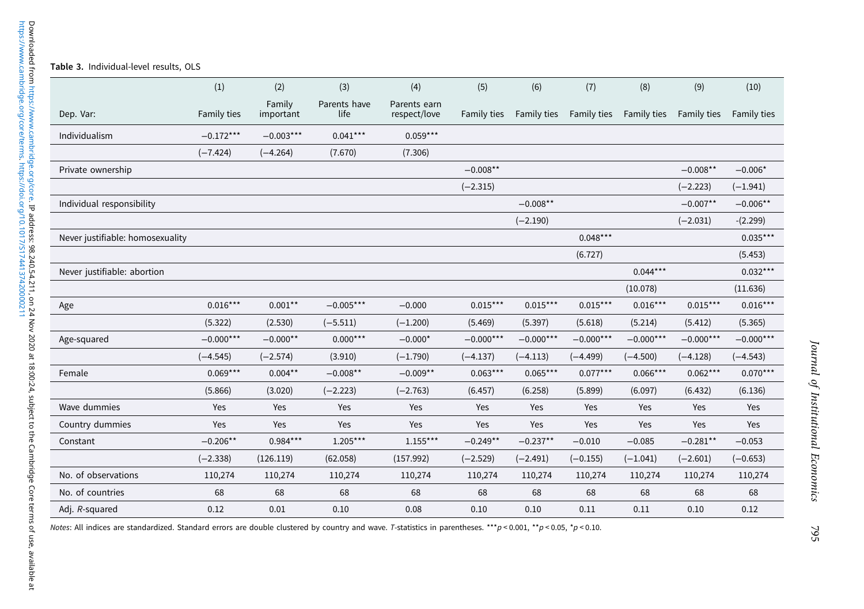<span id="page-10-0"></span>

|                                  | (1)         | (2)                 | (3)                  | (4)                          | (5)         | (6)         | (7)         | (8)         | (9)         | (10)        |
|----------------------------------|-------------|---------------------|----------------------|------------------------------|-------------|-------------|-------------|-------------|-------------|-------------|
| Dep. Var:                        | Family ties | Family<br>important | Parents have<br>life | Parents earn<br>respect/love | Family ties | Family ties | Family ties | Family ties | Family ties | Family ties |
| Individualism                    | $-0.172***$ | $-0.003***$         | $0.041***$           | $0.059***$                   |             |             |             |             |             |             |
|                                  | $(-7.424)$  | $(-4.264)$          | (7.670)              | (7.306)                      |             |             |             |             |             |             |
| Private ownership                |             |                     |                      |                              | $-0.008**$  |             |             |             | $-0.008**$  | $-0.006*$   |
|                                  |             |                     |                      |                              | $(-2.315)$  |             |             |             | $(-2.223)$  | $(-1.941)$  |
| Individual responsibility        |             |                     |                      |                              |             | $-0.008**$  |             |             | $-0.007**$  | $-0.006**$  |
|                                  |             |                     |                      |                              |             | $(-2.190)$  |             |             | $(-2.031)$  | $-(2.299)$  |
| Never justifiable: homosexuality |             |                     |                      |                              |             |             | $0.048***$  |             |             | $0.035***$  |
|                                  |             |                     |                      |                              |             |             | (6.727)     |             |             | (5.453)     |
| Never justifiable: abortion      |             |                     |                      |                              |             |             |             | $0.044***$  |             | $0.032***$  |
|                                  |             |                     |                      |                              |             |             |             | (10.078)    |             | (11.636)    |
| Age                              | $0.016***$  | $0.001***$          | $-0.005***$          | $-0.000$                     | $0.015***$  | $0.015***$  | $0.015***$  | $0.016***$  | $0.015***$  | $0.016***$  |
|                                  | (5.322)     | (2.530)             | $(-5.511)$           | $(-1.200)$                   | (5.469)     | (5.397)     | (5.618)     | (5.214)     | (5.412)     | (5.365)     |
| Age-squared                      | $-0.000***$ | $-0.000**$          | $0.000***$           | $-0.000*$                    | $-0.000***$ | $-0.000***$ | $-0.000***$ | $-0.000***$ | $-0.000***$ | $-0.000***$ |
|                                  | $(-4.545)$  | $(-2.574)$          | (3.910)              | $(-1.790)$                   | $(-4.137)$  | $(-4.113)$  | $(-4.499)$  | $(-4.500)$  | $(-4.128)$  | $(-4.543)$  |
| Female                           | $0.069***$  | $0.004***$          | $-0.008**$           | $-0.009**$                   | $0.063***$  | $0.065***$  | $0.077***$  | $0.066***$  | $0.062***$  | $0.070***$  |
|                                  | (5.866)     | (3.020)             | $(-2.223)$           | $(-2.763)$                   | (6.457)     | (6.258)     | (5.899)     | (6.097)     | (6.432)     | (6.136)     |
| Wave dummies                     | Yes         | Yes                 | Yes                  | Yes                          | Yes         | Yes         | Yes         | Yes         | Yes         | Yes         |
| Country dummies                  | Yes         | Yes                 | Yes                  | Yes                          | Yes         | Yes         | Yes         | Yes         | Yes         | Yes         |
| Constant                         | $-0.206**$  | $0.984***$          | $1.205***$           | $1.155***$                   | $-0.249**$  | $-0.237**$  | $-0.010$    | $-0.085$    | $-0.281**$  | $-0.053$    |
|                                  | $(-2.338)$  | (126.119)           | (62.058)             | (157.992)                    | $(-2.529)$  | $(-2.491)$  | $(-0.155)$  | $(-1.041)$  | $(-2.601)$  | $(-0.653)$  |
| No. of observations              | 110,274     | 110,274             | 110,274              | 110,274                      | 110,274     | 110,274     | 110,274     | 110,274     | 110,274     | 110,274     |
| No. of countries                 | 68          | 68                  | 68                   | 68                           | 68          | 68          | 68          | 68          | 68          | 68          |
| Adj. R-squared                   | 0.12        | 0.01                | 0.10                 | 0.08                         | 0.10        | 0.10        | 0.11        | 0.11        | 0.10        | 0.12        |

Notes: All indices are standardized. Standard errors are double clustered by country and wave. T-statistics in parentheses. \*\*\*p < 0.001, \*\*p < 0.05, \*p < 0.10.

795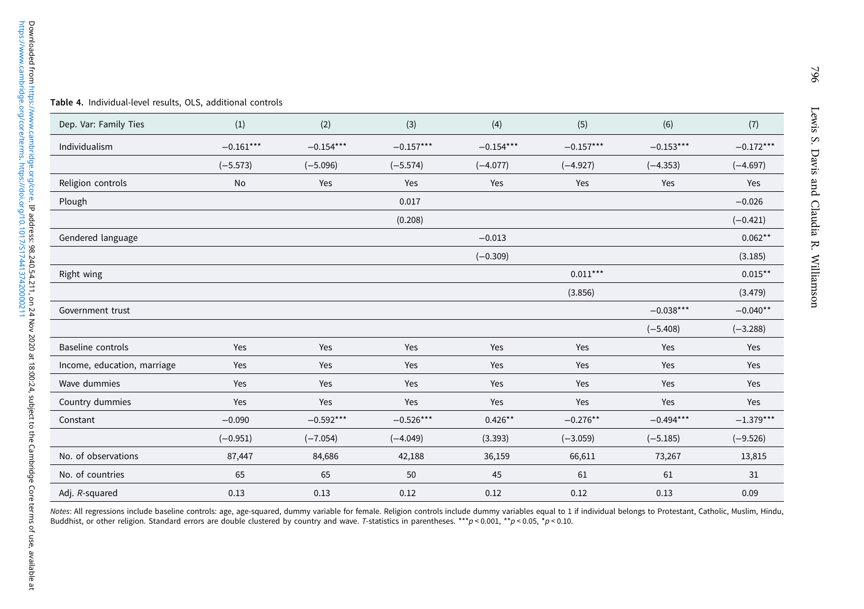<span id="page-11-0"></span>

|  | Table 4. Individual-level results, OLS, additional controls |  |  |  |  |
|--|-------------------------------------------------------------|--|--|--|--|
|--|-------------------------------------------------------------|--|--|--|--|

| Dep. Var: Family Ties       | (1)         | (2)         | (3)         | (4)         | (5)         | (6)         | (7)         |
|-----------------------------|-------------|-------------|-------------|-------------|-------------|-------------|-------------|
| Individualism               | $-0.161***$ | $-0.154***$ | $-0.157***$ | $-0.154***$ | $-0.157***$ | $-0.153***$ | $-0.172***$ |
|                             | $(-5.573)$  | $(-5.096)$  | $(-5.574)$  | $(-4.077)$  | $(-4.927)$  | $(-4.353)$  | $(-4.697)$  |
| Religion controls           | No          | Yes         | Yes         | Yes         | Yes         | Yes         | Yes         |
| Plough                      |             |             | 0.017       |             |             |             | $-0.026$    |
|                             |             |             | (0.208)     |             |             |             | $(-0.421)$  |
| Gendered language           |             |             |             | $-0.013$    |             |             | $0.062**$   |
|                             |             |             |             | $(-0.309)$  |             |             | (3.185)     |
| Right wing                  |             |             |             |             | $0.011***$  |             | $0.015***$  |
|                             |             |             |             |             | (3.856)     |             | (3.479)     |
| Government trust            |             |             |             |             |             | $-0.038***$ | $-0.040**$  |
|                             |             |             |             |             |             | $(-5.408)$  | $(-3.288)$  |
| Baseline controls           | Yes         | Yes         | Yes         | Yes         | Yes         | Yes         | Yes         |
| Income, education, marriage | Yes         | Yes         | Yes         | Yes         | Yes         | Yes         | Yes         |
| Wave dummies                | Yes         | Yes         | Yes         | Yes         | Yes         | Yes         | Yes         |
| Country dummies             | Yes         | Yes         | Yes         | Yes         | Yes         | Yes         | Yes         |
| Constant                    | $-0.090$    | $-0.592***$ | $-0.526***$ | $0.426**$   | $-0.276**$  | $-0.494***$ | $-1.379***$ |
|                             | $(-0.951)$  | $(-7.054)$  | $(-4.049)$  | (3.393)     | $(-3.059)$  | $(-5.185)$  | $(-9.526)$  |
| No. of observations         | 87,447      | 84,686      | 42,188      | 36,159      | 66,611      | 73,267      | 13,815      |
| No. of countries            | 65          | 65          | 50          | 45          | 61          | 61          | 31          |
| Adj. R-squared              | 0.13        | 0.13        | 0.12        | 0.12        | 0.12        | 0.13        | 0.09        |

Notes: All regressions include baseline controls: age, age-squared, dummy variable for female. Religion controls include dummy variables equal to 1 if individual belongs to Protestant, Catholic, Muslim, Hindu<br>Buddhist, or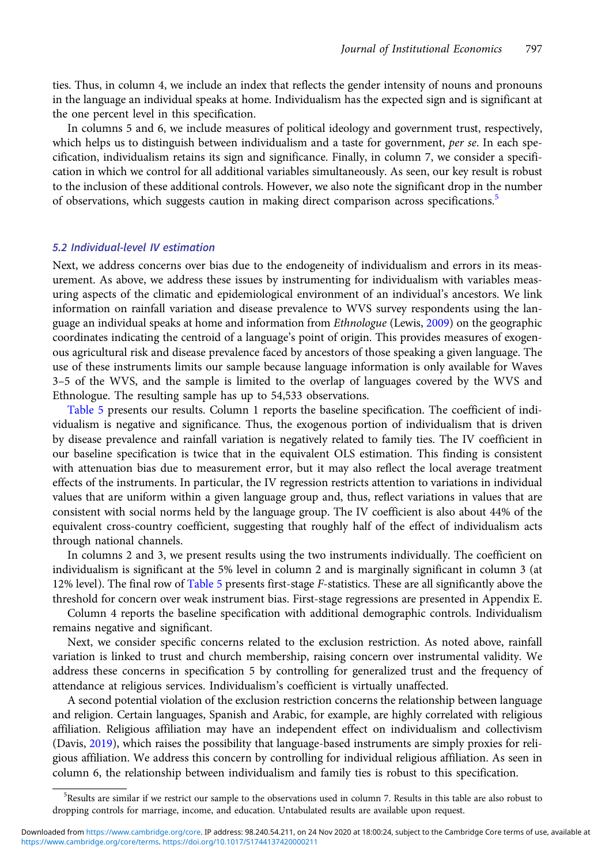ties. Thus, in column 4, we include an index that reflects the gender intensity of nouns and pronouns in the language an individual speaks at home. Individualism has the expected sign and is significant at the one percent level in this specification.

In columns 5 and 6, we include measures of political ideology and government trust, respectively, which helps us to distinguish between individualism and a taste for government, per se. In each specification, individualism retains its sign and significance. Finally, in column 7, we consider a specification in which we control for all additional variables simultaneously. As seen, our key result is robust to the inclusion of these additional controls. However, we also note the significant drop in the number of observations, which suggests caution in making direct comparison across specifications.<sup>5</sup>

### 5.2 Individual-level IV estimation

Next, we address concerns over bias due to the endogeneity of individualism and errors in its measurement. As above, we address these issues by instrumenting for individualism with variables measuring aspects of the climatic and epidemiological environment of an individual's ancestors. We link information on rainfall variation and disease prevalence to WVS survey respondents using the lan-guage an individual speaks at home and information from Ethnologue (Lewis, [2009](#page-15-0)) on the geographic coordinates indicating the centroid of a language's point of origin. This provides measures of exogenous agricultural risk and disease prevalence faced by ancestors of those speaking a given language. The use of these instruments limits our sample because language information is only available for Waves 3–5 of the WVS, and the sample is limited to the overlap of languages covered by the WVS and Ethnologue. The resulting sample has up to 54,533 observations.

[Table 5](#page-13-0) presents our results. Column 1 reports the baseline specification. The coefficient of individualism is negative and significance. Thus, the exogenous portion of individualism that is driven by disease prevalence and rainfall variation is negatively related to family ties. The IV coefficient in our baseline specification is twice that in the equivalent OLS estimation. This finding is consistent with attenuation bias due to measurement error, but it may also reflect the local average treatment effects of the instruments. In particular, the IV regression restricts attention to variations in individual values that are uniform within a given language group and, thus, reflect variations in values that are consistent with social norms held by the language group. The IV coefficient is also about 44% of the equivalent cross-country coefficient, suggesting that roughly half of the effect of individualism acts through national channels.

In columns 2 and 3, we present results using the two instruments individually. The coefficient on individualism is significant at the 5% level in column 2 and is marginally significant in column 3 (at 12% level). The final row of [Table 5](#page-13-0) presents first-stage F-statistics. These are all significantly above the threshold for concern over weak instrument bias. First-stage regressions are presented in Appendix E.

Column 4 reports the baseline specification with additional demographic controls. Individualism remains negative and significant.

Next, we consider specific concerns related to the exclusion restriction. As noted above, rainfall variation is linked to trust and church membership, raising concern over instrumental validity. We address these concerns in specification 5 by controlling for generalized trust and the frequency of attendance at religious services. Individualism's coefficient is virtually unaffected.

A second potential violation of the exclusion restriction concerns the relationship between language and religion. Certain languages, Spanish and Arabic, for example, are highly correlated with religious affiliation. Religious affiliation may have an independent effect on individualism and collectivism (Davis, [2019](#page-15-0)), which raises the possibility that language-based instruments are simply proxies for religious affiliation. We address this concern by controlling for individual religious affiliation. As seen in column 6, the relationship between individualism and family ties is robust to this specification.

<sup>5</sup> Results are similar if we restrict our sample to the observations used in column 7. Results in this table are also robust to dropping controls for marriage, income, and education. Untabulated results are available upon request.

[https://www.cambridge.org/core/terms.](https://www.cambridge.org/core/terms) <https://doi.org/10.1017/S1744137420000211> Downloaded from [https://www.cambridge.org/core.](https://www.cambridge.org/core) IP address: 98.240.54.211, on 24 Nov 2020 at 18:00:24, subject to the Cambridge Core terms of use, available at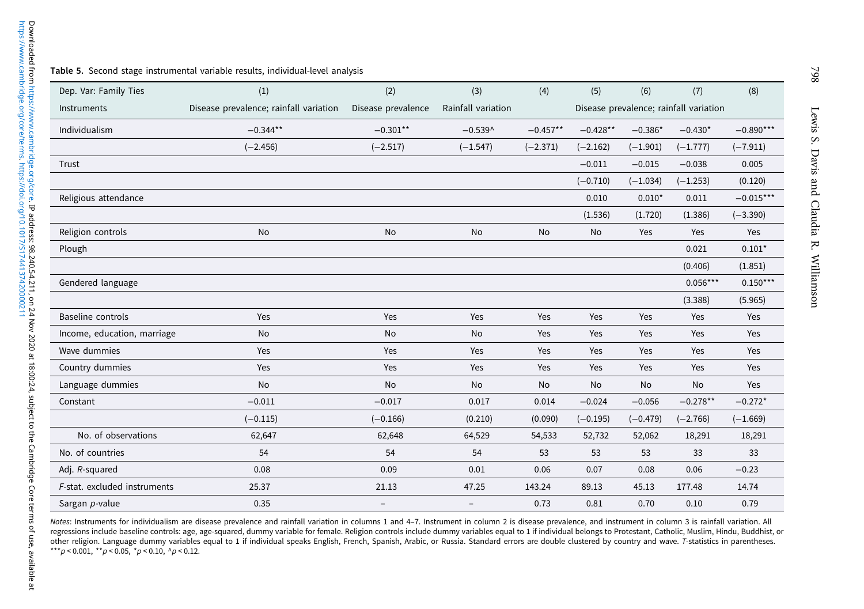#### <span id="page-13-0"></span>Table 5. Second stage instrumental variable results, individual-level analysis

| Dep. Var: Family Ties        | (1)                                    | (2)                      | (3)                | (4)        | (5)        | (6)        | (7)                                    | (8)         |
|------------------------------|----------------------------------------|--------------------------|--------------------|------------|------------|------------|----------------------------------------|-------------|
| Instruments                  | Disease prevalence; rainfall variation | Disease prevalence       | Rainfall variation |            |            |            | Disease prevalence; rainfall variation |             |
| Individualism                | $-0.344**$                             | $-0.301**$               | $-0.539^$          | $-0.457**$ | $-0.428**$ | $-0.386*$  | $-0.430*$                              | $-0.890***$ |
|                              | $(-2.456)$                             | $(-2.517)$               | $(-1.547)$         | $(-2.371)$ | $(-2.162)$ | $(-1.901)$ | $(-1.777)$                             | $(-7.911)$  |
| Trust                        |                                        |                          |                    |            | $-0.011$   | $-0.015$   | $-0.038$                               | 0.005       |
|                              |                                        |                          |                    |            | $(-0.710)$ | $(-1.034)$ | $(-1.253)$                             | (0.120)     |
| Religious attendance         |                                        |                          |                    |            | 0.010      | $0.010*$   | 0.011                                  | $-0.015***$ |
|                              |                                        |                          |                    |            | (1.536)    | (1.720)    | (1.386)                                | $(-3.390)$  |
| Religion controls            | No                                     | No                       | No                 | No         | No         | Yes        | Yes                                    | Yes         |
| Plough                       |                                        |                          |                    |            |            |            | 0.021                                  | $0.101*$    |
|                              |                                        |                          |                    |            |            |            | (0.406)                                | (1.851)     |
| Gendered language            |                                        |                          |                    |            |            |            | $0.056***$                             | $0.150***$  |
|                              |                                        |                          |                    |            |            |            | (3.388)                                | (5.965)     |
| <b>Baseline controls</b>     | Yes                                    | Yes                      | Yes                | Yes        | Yes        | Yes        | Yes                                    | Yes         |
| Income, education, marriage  | No                                     | No                       | No                 | Yes        | Yes        | Yes        | Yes                                    | Yes         |
| Wave dummies                 | Yes                                    | Yes                      | Yes                | Yes        | Yes        | Yes        | Yes                                    | Yes         |
| Country dummies              | Yes                                    | Yes                      | Yes                | Yes        | Yes        | Yes        | Yes                                    | Yes         |
| Language dummies             | <b>No</b>                              | <b>No</b>                | <b>No</b>          | No         | No         | No         | <b>No</b>                              | Yes         |
| Constant                     | $-0.011$                               | $-0.017$                 | 0.017              | 0.014      | $-0.024$   | $-0.056$   | $-0.278**$                             | $-0.272*$   |
|                              | $(-0.115)$                             | $(-0.166)$               | (0.210)            | (0.090)    | $(-0.195)$ | $(-0.479)$ | $(-2.766)$                             | $(-1.669)$  |
| No. of observations          | 62,647                                 | 62,648                   | 64,529             | 54,533     | 52,732     | 52,062     | 18,291                                 | 18,291      |
| No. of countries             | 54                                     | 54                       | 54                 | 53         | 53         | 53         | 33                                     | 33          |
| Adj. R-squared               | 0.08                                   | 0.09                     | 0.01               | 0.06       | 0.07       | 0.08       | 0.06                                   | $-0.23$     |
| F-stat. excluded instruments | 25.37                                  | 21.13                    | 47.25              | 143.24     | 89.13      | 45.13      | 177.48                                 | 14.74       |
| Sargan p-value               | 0.35                                   | $\overline{\phantom{a}}$ | $\qquad \qquad -$  | 0.73       | 0.81       | 0.70       | 0.10                                   | 0.79        |

Notes: Instruments for individualism are disease prevalence and rainfall variation in columns 1 and 4-7. Instrument in column 2 is disease prevalence, and instrument in column 3 is rainfall variation. All regressions include baseline controls: age, age-squared, dummy variable for female. Religion controls include dummy variables equal to <sup>1</sup> if individual belongs to Protestant, Catholic, Muslim, Hindu, Buddhist, or other religion. Language dummy variables equal to <sup>1</sup> if individual speaks English, French, Spanish, Arabic, or Russia. Standard errors are double clustered by country and wave. <sup>T</sup>-statistics in parentheses. \*\*\*p < 0.001, \*\*p < 0.05, \*p < 0.10, ^p < 0.12.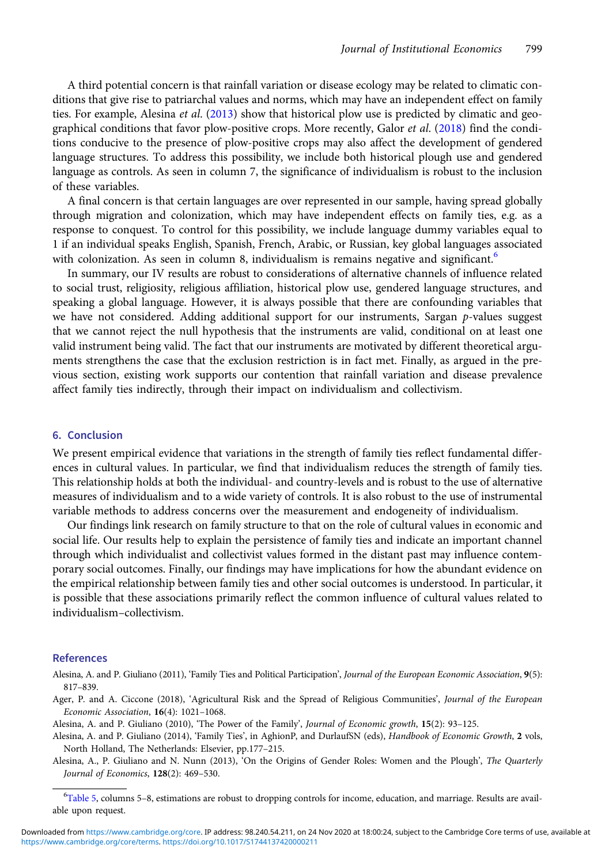<span id="page-14-0"></span>A third potential concern is that rainfall variation or disease ecology may be related to climatic conditions that give rise to patriarchal values and norms, which may have an independent effect on family ties. For example, Alesina et al. (2013) show that historical plow use is predicted by climatic and geo-graphical conditions that favor plow-positive crops. More recently, Galor et al. [\(2018](#page-15-0)) find the conditions conducive to the presence of plow-positive crops may also affect the development of gendered language structures. To address this possibility, we include both historical plough use and gendered language as controls. As seen in column 7, the significance of individualism is robust to the inclusion of these variables.

A final concern is that certain languages are over represented in our sample, having spread globally through migration and colonization, which may have independent effects on family ties, e.g. as a response to conquest. To control for this possibility, we include language dummy variables equal to 1 if an individual speaks English, Spanish, French, Arabic, or Russian, key global languages associated with colonization. As seen in column 8, individualism is remains negative and significant.<sup>6</sup>

In summary, our IV results are robust to considerations of alternative channels of influence related to social trust, religiosity, religious affiliation, historical plow use, gendered language structures, and speaking a global language. However, it is always possible that there are confounding variables that we have not considered. Adding additional support for our instruments, Sargan p-values suggest that we cannot reject the null hypothesis that the instruments are valid, conditional on at least one valid instrument being valid. The fact that our instruments are motivated by different theoretical arguments strengthens the case that the exclusion restriction is in fact met. Finally, as argued in the previous section, existing work supports our contention that rainfall variation and disease prevalence affect family ties indirectly, through their impact on individualism and collectivism.

#### 6. Conclusion

We present empirical evidence that variations in the strength of family ties reflect fundamental differences in cultural values. In particular, we find that individualism reduces the strength of family ties. This relationship holds at both the individual- and country-levels and is robust to the use of alternative measures of individualism and to a wide variety of controls. It is also robust to the use of instrumental variable methods to address concerns over the measurement and endogeneity of individualism.

Our findings link research on family structure to that on the role of cultural values in economic and social life. Our results help to explain the persistence of family ties and indicate an important channel through which individualist and collectivist values formed in the distant past may influence contemporary social outcomes. Finally, our findings may have implications for how the abundant evidence on the empirical relationship between family ties and other social outcomes is understood. In particular, it is possible that these associations primarily reflect the common influence of cultural values related to individualism–collectivism.

#### References

- Alesina, A. and P. Giuliano (2011), 'Family Ties and Political Participation', Journal of the European Economic Association, 9(5): 817–839.
- Ager, P. and A. Ciccone (2018), 'Agricultural Risk and the Spread of Religious Communities', Journal of the European Economic Association, 16(4): 1021–1068.
- Alesina, A. and P. Giuliano (2010), 'The Power of the Family', Journal of Economic growth, 15(2): 93–125.
- Alesina, A. and P. Giuliano (2014), 'Family Ties', in AghionP, and DurlaufSN (eds), Handbook of Economic Growth, 2 vols, North Holland, The Netherlands: Elsevier, pp.177–215.
- Alesina, A., P. Giuliano and N. Nunn (2013), 'On the Origins of Gender Roles: Women and the Plough', The Quarterly Journal of Economics, 128(2): 469–530.

<sup>6</sup> [Table 5,](#page-13-0) columns 5–8, estimations are robust to dropping controls for income, education, and marriage. Results are available upon request.

[https://www.cambridge.org/core/terms.](https://www.cambridge.org/core/terms) <https://doi.org/10.1017/S1744137420000211> Downloaded from [https://www.cambridge.org/core.](https://www.cambridge.org/core) IP address: 98.240.54.211, on 24 Nov 2020 at 18:00:24, subject to the Cambridge Core terms of use, available at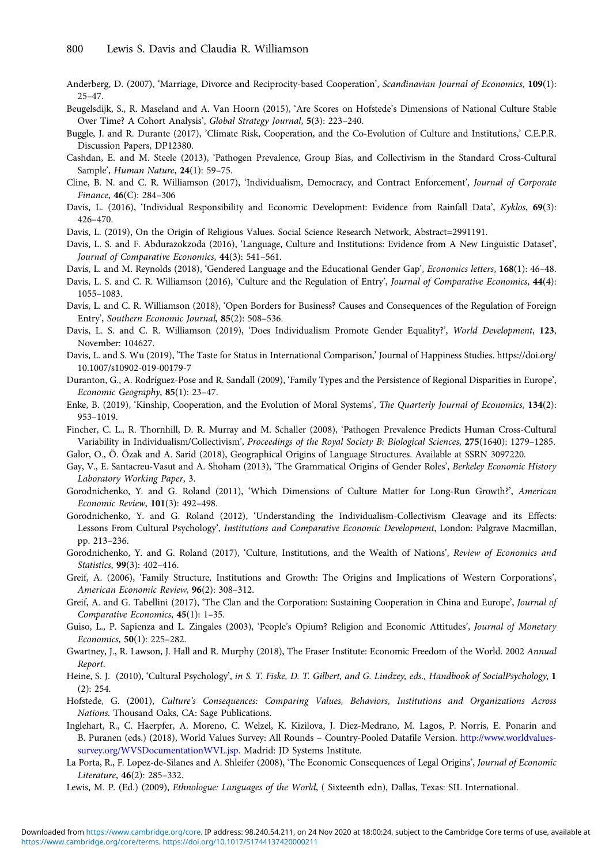- <span id="page-15-0"></span>Anderberg, D. (2007), 'Marriage, Divorce and Reciprocity-based Cooperation', Scandinavian Journal of Economics, 109(1): 25–47.
- Beugelsdijk, S., R. Maseland and A. Van Hoorn (2015), 'Are Scores on Hofstede's Dimensions of National Culture Stable Over Time? A Cohort Analysis', Global Strategy Journal, 5(3): 223–240.
- Buggle, J. and R. Durante (2017), 'Climate Risk, Cooperation, and the Co-Evolution of Culture and Institutions,' C.E.P.R. Discussion Papers, DP12380.
- Cashdan, E. and M. Steele (2013), 'Pathogen Prevalence, Group Bias, and Collectivism in the Standard Cross-Cultural Sample', Human Nature, 24(1): 59–75.
- Cline, B. N. and C. R. Williamson (2017), 'Individualism, Democracy, and Contract Enforcement', Journal of Corporate Finance, 46(C): 284–306
- Davis, L. (2016), 'Individual Responsibility and Economic Development: Evidence from Rainfall Data', Kyklos, 69(3): 426–470.
- Davis, L. (2019), On the Origin of Religious Values. Social Science Research Network, Abstract=2991191.
- Davis, L. S. and F. Abdurazokzoda (2016), 'Language, Culture and Institutions: Evidence from A New Linguistic Dataset', Journal of Comparative Economics, 44(3): 541–561.
- Davis, L. and M. Reynolds (2018), 'Gendered Language and the Educational Gender Gap', Economics letters, 168(1): 46-48.
- Davis, L. S. and C. R. Williamson (2016), 'Culture and the Regulation of Entry', Journal of Comparative Economics, 44(4): 1055–1083.
- Davis, L. and C. R. Williamson (2018), 'Open Borders for Business? Causes and Consequences of the Regulation of Foreign Entry', Southern Economic Journal, 85(2): 508–536.
- Davis, L. S. and C. R. Williamson (2019), 'Does Individualism Promote Gender Equality?', World Development, 123, November: 104627.
- Davis, L. and S. Wu (2019), 'The Taste for Status in International Comparison,' Journal of Happiness Studies. https://doi.org/ 10.1007/s10902-019-00179-7
- Duranton, G., A. Rodríguez-Pose and R. Sandall (2009), 'Family Types and the Persistence of Regional Disparities in Europe', Economic Geography, 85(1): 23–47.
- Enke, B. (2019), 'Kinship, Cooperation, and the Evolution of Moral Systems', The Quarterly Journal of Economics, 134(2): 953–1019.
- Fincher, C. L., R. Thornhill, D. R. Murray and M. Schaller (2008), 'Pathogen Prevalence Predicts Human Cross-Cultural Variability in Individualism/Collectivism', Proceedings of the Royal Society B: Biological Sciences, 275(1640): 1279–1285.
- Galor, O., Ö. Özak and A. Sarid (2018), Geographical Origins of Language Structures. Available at SSRN 3097220.
- Gay, V., E. Santacreu-Vasut and A. Shoham (2013), 'The Grammatical Origins of Gender Roles', Berkeley Economic History Laboratory Working Paper, 3.
- Gorodnichenko, Y. and G. Roland (2011), 'Which Dimensions of Culture Matter for Long-Run Growth?', American Economic Review, 101(3): 492–498.
- Gorodnichenko, Y. and G. Roland (2012), 'Understanding the Individualism-Collectivism Cleavage and its Effects: Lessons From Cultural Psychology', Institutions and Comparative Economic Development, London: Palgrave Macmillan, pp. 213–236.
- Gorodnichenko, Y. and G. Roland (2017), 'Culture, Institutions, and the Wealth of Nations', Review of Economics and Statistics, 99(3): 402–416.
- Greif, A. (2006), 'Family Structure, Institutions and Growth: The Origins and Implications of Western Corporations', American Economic Review, 96(2): 308–312.
- Greif, A. and G. Tabellini (2017), 'The Clan and the Corporation: Sustaining Cooperation in China and Europe', Journal of Comparative Economics, 45(1): 1–35.
- Guiso, L., P. Sapienza and L. Zingales (2003), 'People's Opium? Religion and Economic Attitudes', Journal of Monetary Economics, 50(1): 225–282.
- Gwartney, J., R. Lawson, J. Hall and R. Murphy (2018), The Fraser Institute: Economic Freedom of the World. 2002 Annual Report.
- Heine, S. J. (2010), 'Cultural Psychology', in S. T. Fiske, D. T. Gilbert, and G. Lindzey, eds., Handbook of SocialPsychology, 1  $(2) \cdot 254$ .
- Hofstede, G. (2001), Culture's Consequences: Comparing Values, Behaviors, Institutions and Organizations Across Nations. Thousand Oaks, CA: Sage Publications.
- Inglehart, R., C. Haerpfer, A. Moreno, C. Welzel, K. Kizilova, J. Diez-Medrano, M. Lagos, P. Norris, E. Ponarin and B. Puranen (eds.) (2018), World Values Survey: All Rounds – Country-Pooled Datafile Version. [http://www.worldvalues](http://www.worldvaluessurvey.org/WVSDocumentationWVL.jsp)[survey.org/WVSDocumentationWVL.jsp](http://www.worldvaluessurvey.org/WVSDocumentationWVL.jsp). Madrid: JD Systems Institute.
- La Porta, R., F. Lopez-de-Silanes and A. Shleifer (2008), 'The Economic Consequences of Legal Origins', Journal of Economic Literature, 46(2): 285–332.
- Lewis, M. P. (Ed.) (2009), Ethnologue: Languages of the World, ( Sixteenth edn), Dallas, Texas: SIL International.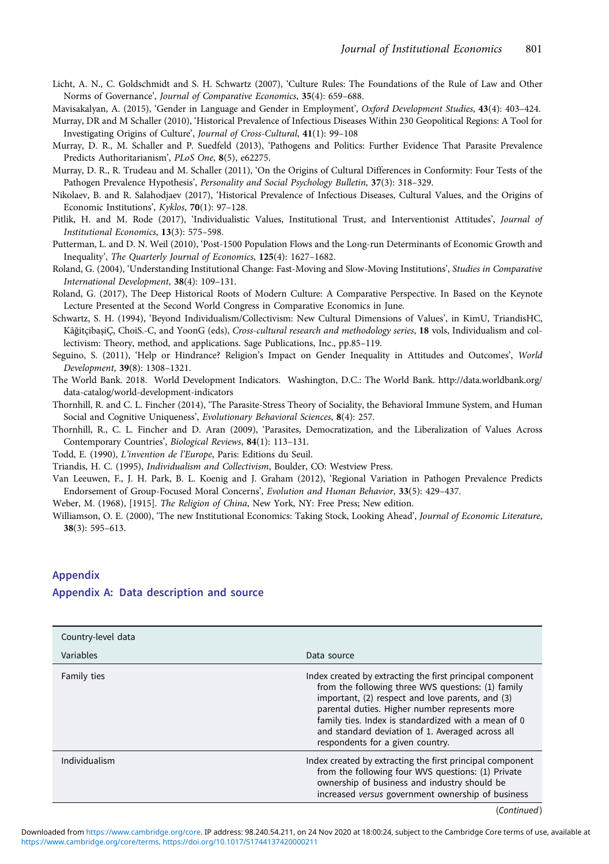- <span id="page-16-0"></span>Licht, A. N., C. Goldschmidt and S. H. Schwartz (2007), 'Culture Rules: The Foundations of the Rule of Law and Other Norms of Governance', Journal of Comparative Economics, 35(4): 659–688.
- Mavisakalyan, A. (2015), 'Gender in Language and Gender in Employment', Oxford Development Studies, 43(4): 403-424.
- Murray, DR and M Schaller (2010), 'Historical Prevalence of Infectious Diseases Within 230 Geopolitical Regions: A Tool for Investigating Origins of Culture', Journal of Cross-Cultural, 41(1): 99–108
- Murray, D. R., M. Schaller and P. Suedfeld (2013), 'Pathogens and Politics: Further Evidence That Parasite Prevalence Predicts Authoritarianism', PLoS One, 8(5), e62275.
- Murray, D. R., R. Trudeau and M. Schaller (2011), 'On the Origins of Cultural Differences in Conformity: Four Tests of the Pathogen Prevalence Hypothesis', Personality and Social Psychology Bulletin, 37(3): 318–329.
- Nikolaev, B. and R. Salahodjaev (2017), 'Historical Prevalence of Infectious Diseases, Cultural Values, and the Origins of Economic Institutions', Kyklos, 70(1): 97–128.
- Pitlik, H. and M. Rode (2017), 'Individualistic Values, Institutional Trust, and Interventionist Attitudes', Journal of Institutional Economics, 13(3): 575–598.
- Putterman, L. and D. N. Weil (2010), 'Post-1500 Population Flows and the Long-run Determinants of Economic Growth and Inequality', The Quarterly Journal of Economics, 125(4): 1627–1682.
- Roland, G. (2004), 'Understanding Institutional Change: Fast-Moving and Slow-Moving Institutions', Studies in Comparative International Development, 38(4): 109–131.
- Roland, G. (2017), The Deep Historical Roots of Modern Culture: A Comparative Perspective. In Based on the Keynote Lecture Presented at the Second World Congress in Comparative Economics in June.
- Schwartz, S. H. (1994), 'Beyond Individualism/Collectivism: New Cultural Dimensions of Values', in KimU, TriandisHC, KâğitçibaşiÇ, ChoiS.-C, and YoonG (eds), Cross-cultural research and methodology series, 18 vols, Individualism and collectivism: Theory, method, and applications. Sage Publications, Inc., pp.85–119.
- Seguino, S. (2011), 'Help or Hindrance? Religion's Impact on Gender Inequality in Attitudes and Outcomes', World Development, 39(8): 1308–1321.
- The World Bank. 2018. World Development Indicators. Washington, D.C.: The World Bank. http://data.worldbank.org/ data-catalog/world-development-indicators
- Thornhill, R. and C. L. Fincher (2014), 'The Parasite-Stress Theory of Sociality, the Behavioral Immune System, and Human Social and Cognitive Uniqueness', Evolutionary Behavioral Sciences, 8(4): 257.
- Thornhill, R., C. L. Fincher and D. Aran (2009), 'Parasites, Democratization, and the Liberalization of Values Across Contemporary Countries', Biological Reviews, 84(1): 113–131.
- Todd, E. (1990), L'invention de l'Europe, Paris: Editions du Seuil.
- Triandis, H. C. (1995), Individualism and Collectivism, Boulder, CO: Westview Press.
- Van Leeuwen, F., J. H. Park, B. L. Koenig and J. Graham (2012), 'Regional Variation in Pathogen Prevalence Predicts Endorsement of Group-Focused Moral Concerns', Evolution and Human Behavior, 33(5): 429–437.
- Weber, M. (1968), [1915]. The Religion of China, New York, NY: Free Press; New edition.
- Williamson, O. E. (2000), 'The new Institutional Economics: Taking Stock, Looking Ahead', Journal of Economic Literature, 38(3): 595–613.

# Appendix Appendix A: Data description and source

| Country-level data |                                                                                                                                                                                                                                                                                                                                                                      |
|--------------------|----------------------------------------------------------------------------------------------------------------------------------------------------------------------------------------------------------------------------------------------------------------------------------------------------------------------------------------------------------------------|
| Variables          | Data source                                                                                                                                                                                                                                                                                                                                                          |
| Family ties        | Index created by extracting the first principal component<br>from the following three WVS questions: (1) family<br>important, (2) respect and love parents, and (3)<br>parental duties. Higher number represents more<br>family ties. Index is standardized with a mean of 0<br>and standard deviation of 1. Averaged across all<br>respondents for a given country. |
| Individualism      | Index created by extracting the first principal component<br>from the following four WVS questions: (1) Private<br>ownership of business and industry should be<br>increased versus government ownership of business                                                                                                                                                 |
|                    | (Confinrad)                                                                                                                                                                                                                                                                                                                                                          |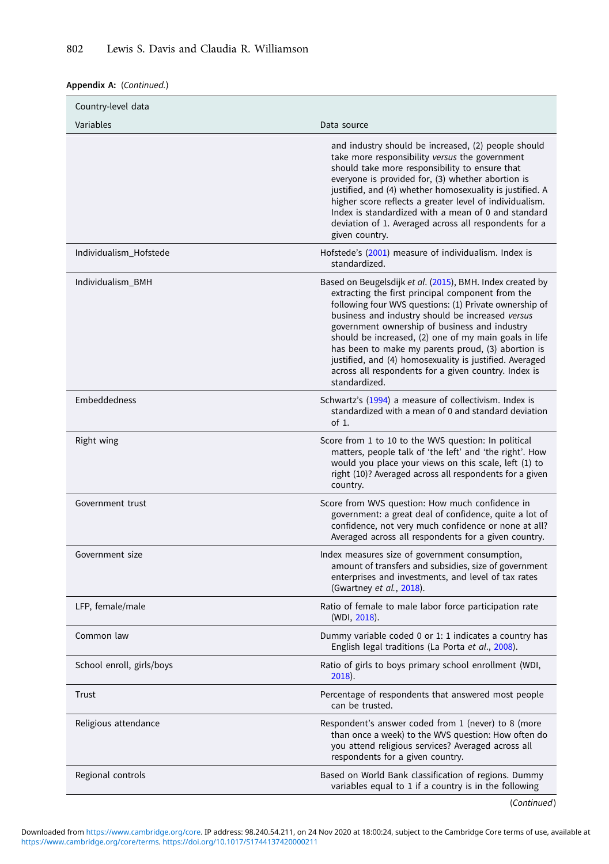## Appendix A: (Continued.)

| Country-level data        |                                                                                                                                                                                                                                                                                                                                                                                                                                                                                                                                  |
|---------------------------|----------------------------------------------------------------------------------------------------------------------------------------------------------------------------------------------------------------------------------------------------------------------------------------------------------------------------------------------------------------------------------------------------------------------------------------------------------------------------------------------------------------------------------|
| Variables                 | Data source                                                                                                                                                                                                                                                                                                                                                                                                                                                                                                                      |
|                           | and industry should be increased, (2) people should<br>take more responsibility versus the government<br>should take more responsibility to ensure that<br>everyone is provided for, (3) whether abortion is<br>justified, and (4) whether homosexuality is justified. A<br>higher score reflects a greater level of individualism.<br>Index is standardized with a mean of 0 and standard<br>deviation of 1. Averaged across all respondents for a<br>given country.                                                            |
| Individualism_Hofstede    | Hofstede's (2001) measure of individualism. Index is<br>standardized.                                                                                                                                                                                                                                                                                                                                                                                                                                                            |
| Individualism_BMH         | Based on Beugelsdijk et al. (2015), BMH. Index created by<br>extracting the first principal component from the<br>following four WVS questions: (1) Private ownership of<br>business and industry should be increased versus<br>government ownership of business and industry<br>should be increased, (2) one of my main goals in life<br>has been to make my parents proud, (3) abortion is<br>justified, and (4) homosexuality is justified. Averaged<br>across all respondents for a given country. Index is<br>standardized. |
| Embeddedness              | Schwartz's (1994) a measure of collectivism. Index is<br>standardized with a mean of 0 and standard deviation<br>of $1$ .                                                                                                                                                                                                                                                                                                                                                                                                        |
| Right wing                | Score from 1 to 10 to the WVS question: In political<br>matters, people talk of 'the left' and 'the right'. How<br>would you place your views on this scale, left (1) to<br>right (10)? Averaged across all respondents for a given<br>country.                                                                                                                                                                                                                                                                                  |
| Government trust          | Score from WVS question: How much confidence in<br>government: a great deal of confidence, quite a lot of<br>confidence, not very much confidence or none at all?<br>Averaged across all respondents for a given country.                                                                                                                                                                                                                                                                                                        |
| Government size           | Index measures size of government consumption,<br>amount of transfers and subsidies, size of government<br>enterprises and investments, and level of tax rates<br>(Gwartney et al., 2018).                                                                                                                                                                                                                                                                                                                                       |
| LFP, female/male          | Ratio of female to male labor force participation rate<br>(WDI, 2018).                                                                                                                                                                                                                                                                                                                                                                                                                                                           |
| Common law                | Dummy variable coded 0 or 1: 1 indicates a country has<br>English legal traditions (La Porta et al., 2008).                                                                                                                                                                                                                                                                                                                                                                                                                      |
| School enroll, girls/boys | Ratio of girls to boys primary school enrollment (WDI,<br>$2018$ ).                                                                                                                                                                                                                                                                                                                                                                                                                                                              |
| Trust                     | Percentage of respondents that answered most people<br>can be trusted.                                                                                                                                                                                                                                                                                                                                                                                                                                                           |
| Religious attendance      | Respondent's answer coded from 1 (never) to 8 (more<br>than once a week) to the WVS question: How often do<br>you attend religious services? Averaged across all<br>respondents for a given country.                                                                                                                                                                                                                                                                                                                             |
| Regional controls         | Based on World Bank classification of regions. Dummy<br>variables equal to 1 if a country is in the following                                                                                                                                                                                                                                                                                                                                                                                                                    |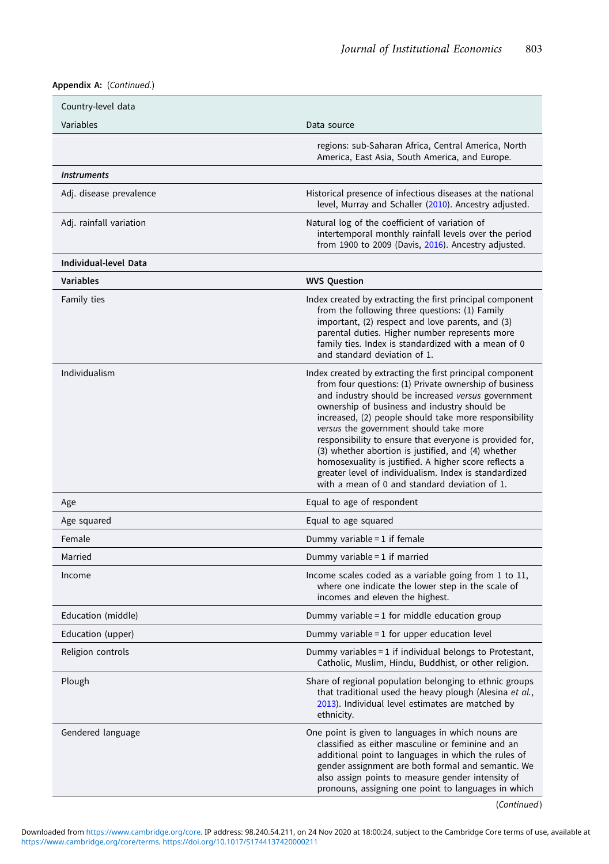# Appendix A: (Continued.)

| Country-level data      |                                                                                                                                                                                                                                                                                                                                                                                                                                                                                                                                                                                                                  |
|-------------------------|------------------------------------------------------------------------------------------------------------------------------------------------------------------------------------------------------------------------------------------------------------------------------------------------------------------------------------------------------------------------------------------------------------------------------------------------------------------------------------------------------------------------------------------------------------------------------------------------------------------|
| Variables               | Data source                                                                                                                                                                                                                                                                                                                                                                                                                                                                                                                                                                                                      |
|                         | regions: sub-Saharan Africa, Central America, North<br>America, East Asia, South America, and Europe.                                                                                                                                                                                                                                                                                                                                                                                                                                                                                                            |
| <b>Instruments</b>      |                                                                                                                                                                                                                                                                                                                                                                                                                                                                                                                                                                                                                  |
| Adj. disease prevalence | Historical presence of infectious diseases at the national<br>level, Murray and Schaller (2010). Ancestry adjusted.                                                                                                                                                                                                                                                                                                                                                                                                                                                                                              |
| Adj. rainfall variation | Natural log of the coefficient of variation of<br>intertemporal monthly rainfall levels over the period<br>from 1900 to 2009 (Davis, 2016). Ancestry adjusted.                                                                                                                                                                                                                                                                                                                                                                                                                                                   |
| Individual-level Data   |                                                                                                                                                                                                                                                                                                                                                                                                                                                                                                                                                                                                                  |
| <b>Variables</b>        | <b>WVS Question</b>                                                                                                                                                                                                                                                                                                                                                                                                                                                                                                                                                                                              |
| Family ties             | Index created by extracting the first principal component<br>from the following three questions: (1) Family<br>important, (2) respect and love parents, and (3)<br>parental duties. Higher number represents more<br>family ties. Index is standardized with a mean of 0<br>and standard deviation of 1.                                                                                                                                                                                                                                                                                                         |
| Individualism           | Index created by extracting the first principal component<br>from four questions: (1) Private ownership of business<br>and industry should be increased versus government<br>ownership of business and industry should be<br>increased, (2) people should take more responsibility<br>versus the government should take more<br>responsibility to ensure that everyone is provided for,<br>(3) whether abortion is justified, and (4) whether<br>homosexuality is justified. A higher score reflects a<br>greater level of individualism. Index is standardized<br>with a mean of 0 and standard deviation of 1. |
| Age                     | Equal to age of respondent                                                                                                                                                                                                                                                                                                                                                                                                                                                                                                                                                                                       |
| Age squared             | Equal to age squared                                                                                                                                                                                                                                                                                                                                                                                                                                                                                                                                                                                             |
| Female                  | Dummy variable = $1$ if female                                                                                                                                                                                                                                                                                                                                                                                                                                                                                                                                                                                   |
| Married                 | Dummy variable = $1$ if married                                                                                                                                                                                                                                                                                                                                                                                                                                                                                                                                                                                  |
| Income                  | Income scales coded as a variable going from 1 to 11,<br>where one indicate the lower step in the scale of<br>incomes and eleven the highest.                                                                                                                                                                                                                                                                                                                                                                                                                                                                    |
| Education (middle)      | Dummy variable = $1$ for middle education group                                                                                                                                                                                                                                                                                                                                                                                                                                                                                                                                                                  |
| Education (upper)       | Dummy variable = 1 for upper education level                                                                                                                                                                                                                                                                                                                                                                                                                                                                                                                                                                     |
| Religion controls       | Dummy variables = 1 if individual belongs to Protestant,<br>Catholic, Muslim, Hindu, Buddhist, or other religion.                                                                                                                                                                                                                                                                                                                                                                                                                                                                                                |
| Plough                  | Share of regional population belonging to ethnic groups<br>that traditional used the heavy plough (Alesina et al.,<br>2013). Individual level estimates are matched by<br>ethnicity.                                                                                                                                                                                                                                                                                                                                                                                                                             |
| Gendered language       | One point is given to languages in which nouns are<br>classified as either masculine or feminine and an<br>additional point to languages in which the rules of<br>gender assignment are both formal and semantic. We<br>also assign points to measure gender intensity of<br>pronouns, assigning one point to languages in which                                                                                                                                                                                                                                                                                 |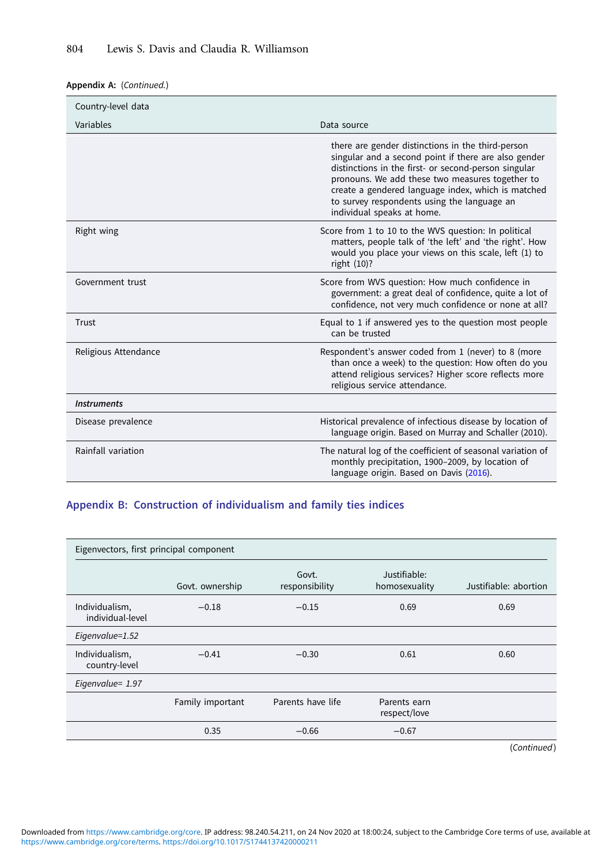## Appendix A: (Continued.)

| Country-level data   |                                                                                                                                                                                                                                                                                                                                                         |
|----------------------|---------------------------------------------------------------------------------------------------------------------------------------------------------------------------------------------------------------------------------------------------------------------------------------------------------------------------------------------------------|
| Variables            | Data source                                                                                                                                                                                                                                                                                                                                             |
|                      | there are gender distinctions in the third-person<br>singular and a second point if there are also gender<br>distinctions in the first- or second-person singular<br>pronouns. We add these two measures together to<br>create a gendered language index, which is matched<br>to survey respondents using the language an<br>individual speaks at home. |
| Right wing           | Score from 1 to 10 to the WVS question: In political<br>matters, people talk of 'the left' and 'the right'. How<br>would you place your views on this scale, left (1) to<br>right $(10)$ ?                                                                                                                                                              |
| Government trust     | Score from WVS question: How much confidence in<br>government: a great deal of confidence, quite a lot of<br>confidence, not very much confidence or none at all?                                                                                                                                                                                       |
| Trust                | Equal to 1 if answered yes to the question most people<br>can be trusted                                                                                                                                                                                                                                                                                |
| Religious Attendance | Respondent's answer coded from 1 (never) to 8 (more<br>than once a week) to the question: How often do you<br>attend religious services? Higher score reflects more<br>religious service attendance.                                                                                                                                                    |
| <b>Instruments</b>   |                                                                                                                                                                                                                                                                                                                                                         |
| Disease prevalence   | Historical prevalence of infectious disease by location of<br>language origin. Based on Murray and Schaller (2010).                                                                                                                                                                                                                                     |
| Rainfall variation   | The natural log of the coefficient of seasonal variation of<br>monthly precipitation, 1900-2009, by location of<br>language origin. Based on Davis (2016).                                                                                                                                                                                              |

# Appendix B: Construction of individualism and family ties indices

| Eigenvectors, first principal component |                  |                         |                               |                       |  |  |  |  |  |
|-----------------------------------------|------------------|-------------------------|-------------------------------|-----------------------|--|--|--|--|--|
|                                         | Govt. ownership  | Govt.<br>responsibility | Justifiable:<br>homosexuality | Justifiable: abortion |  |  |  |  |  |
| Individualism,<br>individual-level      | $-0.18$          | $-0.15$                 | 0.69                          | 0.69                  |  |  |  |  |  |
| Eigenvalue=1.52                         |                  |                         |                               |                       |  |  |  |  |  |
| Individualism,<br>country-level         | $-0.41$          | $-0.30$                 | 0.61                          | 0.60                  |  |  |  |  |  |
| Eigenvalue= 1.97                        |                  |                         |                               |                       |  |  |  |  |  |
|                                         | Family important | Parents have life       | Parents earn<br>respect/love  |                       |  |  |  |  |  |
|                                         | 0.35             | $-0.66$                 | $-0.67$                       |                       |  |  |  |  |  |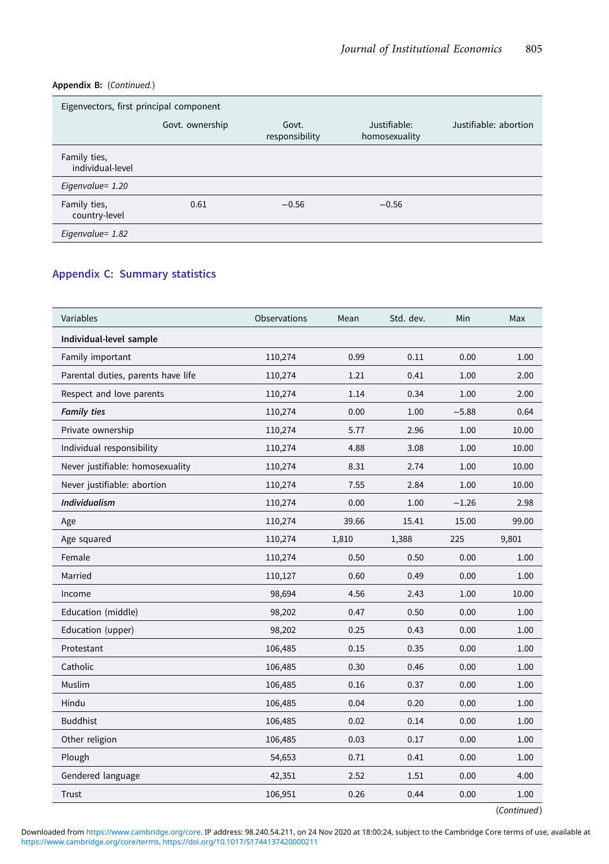## Appendix B: (Continued.)

| Eigenvectors, first principal component |                 |                         |                               |                       |  |  |  |  |  |
|-----------------------------------------|-----------------|-------------------------|-------------------------------|-----------------------|--|--|--|--|--|
|                                         | Govt. ownership | Govt.<br>responsibility | Justifiable:<br>homosexuality | Justifiable: abortion |  |  |  |  |  |
| Family ties,<br>individual-level        |                 |                         |                               |                       |  |  |  |  |  |
| Eigenvalue= 1.20                        |                 |                         |                               |                       |  |  |  |  |  |
| Family ties,<br>country-level           | 0.61            | $-0.56$                 | $-0.56$                       |                       |  |  |  |  |  |
| Eigenvalue= 1.82                        |                 |                         |                               |                       |  |  |  |  |  |

# Appendix C: Summary statistics

| Variables                          | Observations | Mean  | Std. dev. | Min     | Max   |
|------------------------------------|--------------|-------|-----------|---------|-------|
| Individual-level sample            |              |       |           |         |       |
| Family important                   | 110,274      | 0.99  | 0.11      | 0.00    | 1.00  |
| Parental duties, parents have life | 110,274      | 1.21  | 0.41      | 1.00    | 2.00  |
| Respect and love parents           | 110,274      | 1.14  | 0.34      | 1.00    | 2.00  |
| <b>Family ties</b>                 | 110,274      | 0.00  | 1.00      | $-5.88$ | 0.64  |
| Private ownership                  | 110,274      | 5.77  | 2.96      | 1.00    | 10.00 |
| Individual responsibility          | 110,274      | 4.88  | 3.08      | 1.00    | 10.00 |
| Never justifiable: homosexuality   | 110,274      | 8.31  | 2.74      | 1.00    | 10.00 |
| Never justifiable: abortion        | 110,274      | 7.55  | 2.84      | 1.00    | 10.00 |
| <b>Individualism</b>               | 110,274      | 0.00  | 1.00      | $-1.26$ | 2.98  |
| Age                                | 110,274      | 39.66 | 15.41     | 15.00   | 99.00 |
| Age squared                        | 110,274      | 1,810 | 1,388     | 225     | 9,801 |
| Female                             | 110,274      | 0.50  | 0.50      | 0.00    | 1.00  |
| Married                            | 110,127      | 0.60  | 0.49      | 0.00    | 1.00  |
| Income                             | 98,694       | 4.56  | 2.43      | 1.00    | 10.00 |
| Education (middle)                 | 98,202       | 0.47  | 0.50      | 0.00    | 1.00  |
| Education (upper)                  | 98,202       | 0.25  | 0.43      | 0.00    | 1.00  |
| Protestant                         | 106,485      | 0.15  | 0.35      | 0.00    | 1.00  |
| Catholic                           | 106,485      | 0.30  | 0.46      | 0.00    | 1.00  |
| Muslim                             | 106,485      | 0.16  | 0.37      | 0.00    | 1.00  |
| Hindu                              | 106,485      | 0.04  | 0.20      | 0.00    | 1.00  |
| <b>Buddhist</b>                    | 106,485      | 0.02  | 0.14      | 0.00    | 1.00  |
| Other religion                     | 106,485      | 0.03  | 0.17      | 0.00    | 1.00  |
| Plough                             | 54,653       | 0.71  | 0.41      | 0.00    | 1.00  |
| Gendered language                  | 42,351       | 2.52  | 1.51      | 0.00    | 4.00  |
| Trust                              | 106,951      | 0.26  | 0.44      | 0.00    | 1.00  |

(Continued)

[https://www.cambridge.org/core/terms.](https://www.cambridge.org/core/terms) <https://doi.org/10.1017/S1744137420000211> Downloaded from [https://www.cambridge.org/core.](https://www.cambridge.org/core) IP address: 98.240.54.211, on 24 Nov 2020 at 18:00:24, subject to the Cambridge Core terms of use, available at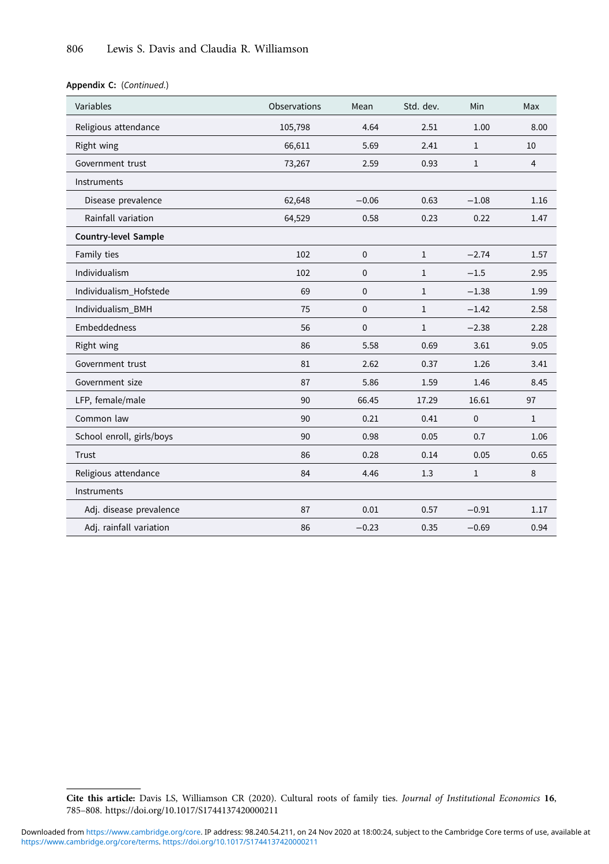Appendix C: (Continued.)

| Variables                 | Observations | Mean        | Std. dev.    | Min          | Max            |
|---------------------------|--------------|-------------|--------------|--------------|----------------|
| Religious attendance      | 105,798      | 4.64        | 2.51         | 1.00         | 8.00           |
| Right wing                | 66,611       | 5.69        | 2.41         | $\mathbf{1}$ | 10             |
| Government trust          | 73,267       | 2.59        | 0.93         | $\mathbf{1}$ | $\overline{4}$ |
| Instruments               |              |             |              |              |                |
| Disease prevalence        | 62,648       | $-0.06$     | 0.63         | $-1.08$      | 1.16           |
| Rainfall variation        | 64,529       | 0.58        | 0.23         | 0.22         | 1.47           |
| Country-level Sample      |              |             |              |              |                |
| Family ties               | 102          | $\mathbf 0$ | $\mathbf{1}$ | $-2.74$      | 1.57           |
| Individualism             | 102          | $\mathbf 0$ | $\mathbf{1}$ | $-1.5$       | 2.95           |
| Individualism Hofstede    | 69           | $\mathbf 0$ | $\mathbf{1}$ | $-1.38$      | 1.99           |
| Individualism BMH         | 75           | $\mathbf 0$ | $\mathbf{1}$ | $-1.42$      | 2.58           |
| Embeddedness              | 56           | $\mathbf 0$ | $\mathbf{1}$ | $-2.38$      | 2.28           |
| Right wing                | 86           | 5.58        | 0.69         | 3.61         | 9.05           |
| Government trust          | 81           | 2.62        | 0.37         | 1.26         | 3.41           |
| Government size           | 87           | 5.86        | 1.59         | 1.46         | 8.45           |
| LFP, female/male          | 90           | 66.45       | 17.29        | 16.61        | 97             |
| Common law                | 90           | 0.21        | 0.41         | $\mathbf 0$  | $\mathbf{1}$   |
| School enroll, girls/boys | 90           | 0.98        | 0.05         | 0.7          | 1.06           |
| Trust                     | 86           | 0.28        | 0.14         | 0.05         | 0.65           |
| Religious attendance      | 84           | 4.46        | 1.3          | $\mathbf{1}$ | 8              |
| Instruments               |              |             |              |              |                |
| Adj. disease prevalence   | 87           | 0.01        | 0.57         | $-0.91$      | 1.17           |
| Adj. rainfall variation   | 86           | $-0.23$     | 0.35         | $-0.69$      | 0.94           |

Cite this article: Davis LS, Williamson CR (2020). Cultural roots of family ties. Journal of Institutional Economics 16, 785–808.<https://doi.org/10.1017/S1744137420000211>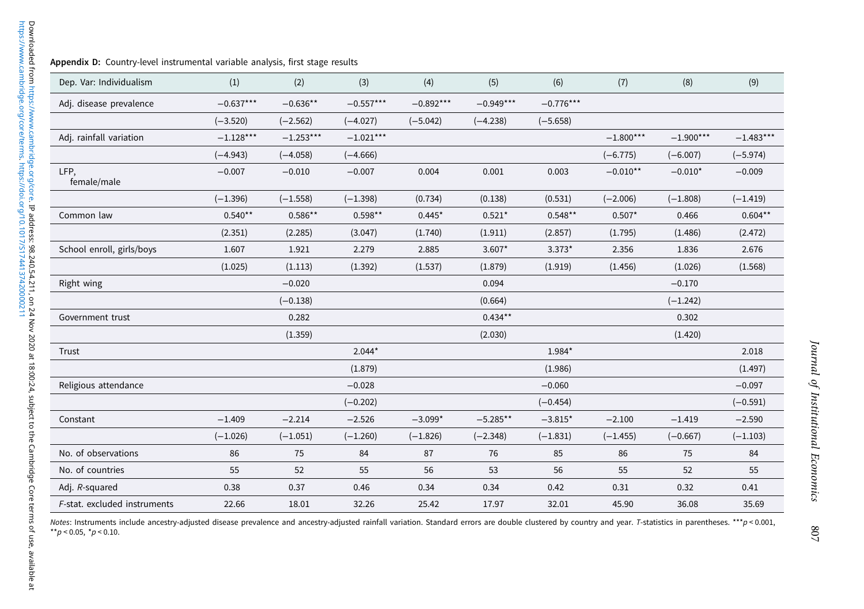| Dep. Var: Individualism      | (1)         | (2)         | (3)         | (4)         | (5)         | (6)         | (7)         | (8)         | (9)         |
|------------------------------|-------------|-------------|-------------|-------------|-------------|-------------|-------------|-------------|-------------|
| Adj. disease prevalence      | $-0.637***$ | $-0.636**$  | $-0.557***$ | $-0.892***$ | $-0.949***$ | $-0.776***$ |             |             |             |
|                              | $(-3.520)$  | $(-2.562)$  | $(-4.027)$  | $(-5.042)$  | $(-4.238)$  | $(-5.658)$  |             |             |             |
| Adj. rainfall variation      | $-1.128***$ | $-1.253***$ | $-1.021***$ |             |             |             | $-1.800***$ | $-1.900***$ | $-1.483***$ |
|                              | $(-4.943)$  | $(-4.058)$  | $(-4.666)$  |             |             |             | $(-6.775)$  | $(-6.007)$  | $(-5.974)$  |
| LFP,<br>female/male          | $-0.007$    | $-0.010$    | $-0.007$    | 0.004       | 0.001       | 0.003       | $-0.010**$  | $-0.010*$   | $-0.009$    |
|                              | $(-1.396)$  | $(-1.558)$  | $(-1.398)$  | (0.734)     | (0.138)     | (0.531)     | $(-2.006)$  | $(-1.808)$  | $(-1.419)$  |
| Common law                   | $0.540**$   | $0.586**$   | $0.598**$   | $0.445*$    | $0.521*$    | $0.548**$   | $0.507*$    | 0.466       | $0.604**$   |
|                              | (2.351)     | (2.285)     | (3.047)     | (1.740)     | (1.911)     | (2.857)     | (1.795)     | (1.486)     | (2.472)     |
| School enroll, girls/boys    | 1.607       | 1.921       | 2.279       | 2.885       | 3.607*      | $3.373*$    | 2.356       | 1.836       | 2.676       |
|                              | (1.025)     | (1.113)     | (1.392)     | (1.537)     | (1.879)     | (1.919)     | (1.456)     | (1.026)     | (1.568)     |
| Right wing                   |             | $-0.020$    |             |             | 0.094       |             |             | $-0.170$    |             |
|                              |             | $(-0.138)$  |             |             | (0.664)     |             |             | $(-1.242)$  |             |
| Government trust             |             | 0.282       |             |             | $0.434***$  |             |             | 0.302       |             |
|                              |             | (1.359)     |             |             | (2.030)     |             |             | (1.420)     |             |
| Trust                        |             |             | $2.044*$    |             |             | 1.984*      |             |             | 2.018       |
|                              |             |             | (1.879)     |             |             | (1.986)     |             |             | (1.497)     |
| Religious attendance         |             |             | $-0.028$    |             |             | $-0.060$    |             |             | $-0.097$    |
|                              |             |             | $(-0.202)$  |             |             | $(-0.454)$  |             |             | $(-0.591)$  |
| Constant                     | $-1.409$    | $-2.214$    | $-2.526$    | $-3.099*$   | $-5.285**$  | $-3.815*$   | $-2.100$    | $-1.419$    | $-2.590$    |
|                              | $(-1.026)$  | $(-1.051)$  | $(-1.260)$  | $(-1.826)$  | $(-2.348)$  | $(-1.831)$  | $(-1.455)$  | $(-0.667)$  | $(-1.103)$  |
| No. of observations          | 86          | 75          | 84          | 87          | 76          | 85          | 86          | 75          | 84          |
| No. of countries             | 55          | 52          | 55          | 56          | 53          | 56          | 55          | 52          | 55          |
| Adj. R-squared               | 0.38        | 0.37        | 0.46        | 0.34        | 0.34        | 0.42        | 0.31        | 0.32        | 0.41        |
| F-stat. excluded instruments | 22.66       | 18.01       | 32.26       | 25.42       | 17.97       | 32.01       | 45.90       | 36.08       | 35.69       |

Notes: Instruments include ancestry-adjusted disease prevalence and ancestry-adjusted rainfall variation. Standard errors are double clustered by country and year. T-statistics in parentheses. \*\*\*p < 0.001<br>\*\*p < 0.05, \*p <